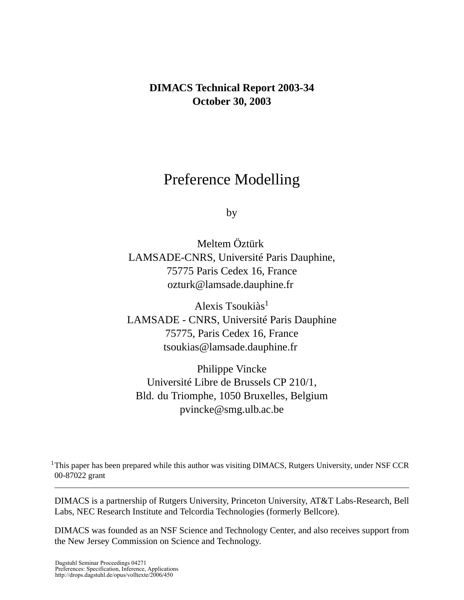## **DIMACS Technical Report 2003-34 October 30, 2003**

# Preference Modelling

by

Meltem Öztürk LAMSADE-CNRS, Université Paris Dauphine, 75775 Paris Cedex 16, France ozturk@lamsade.dauphine.fr

Alexis Tsoukiàs<sup>1</sup> LAMSADE - CNRS, Université Paris Dauphine 75775, Paris Cedex 16, France tsoukias@lamsade.dauphine.fr

Philippe Vincke Université Libre de Brussels CP 210/1, Bld. du Triomphe, 1050 Bruxelles, Belgium pvincke@smg.ulb.ac.be

<sup>1</sup>This paper has been prepared while this author was visiting DIMACS, Rutgers University, under NSF CCR 00-87022 grant

DIMACS is a partnership of Rutgers University, Princeton University, AT&T Labs-Research, Bell Labs, NEC Research Institute and Telcordia Technologies (formerly Bellcore).

DIMACS was founded as an NSF Science and Technology Center, and also receives support from the New Jersey Commission on Science and Technology.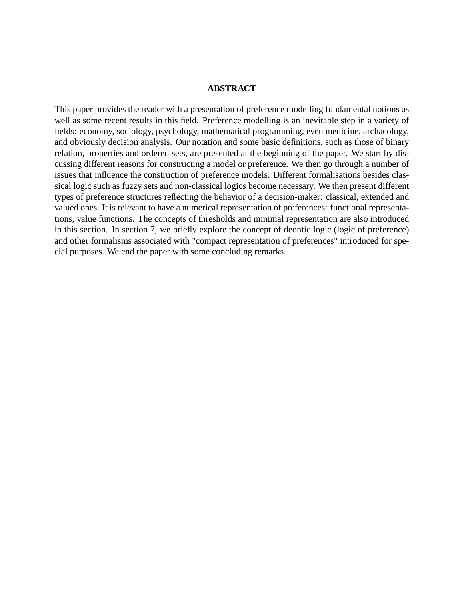#### **ABSTRACT**

This paper provides the reader with a presentation of preference modelling fundamental notions as well as some recent results in this field. Preference modelling is an inevitable step in a variety of fields: economy, sociology, psychology, mathematical programming, even medicine, archaeology, and obviously decision analysis. Our notation and some basic definitions, such as those of binary relation, properties and ordered sets, are presented at the beginning of the paper. We start by discussing different reasons for constructing a model or preference. We then go through a number of issues that influence the construction of preference models. Different formalisations besides classical logic such as fuzzy sets and non-classical logics become necessary. We then present different types of preference structures reflecting the behavior of a decision-maker: classical, extended and valued ones. It is relevant to have a numerical representation of preferences: functional representations, value functions. The concepts of thresholds and minimal representation are also introduced in this section. In section 7, we briefly explore the concept of deontic logic (logic of preference) and other formalisms associated with "compact representation of preferences" introduced for special purposes. We end the paper with some concluding remarks.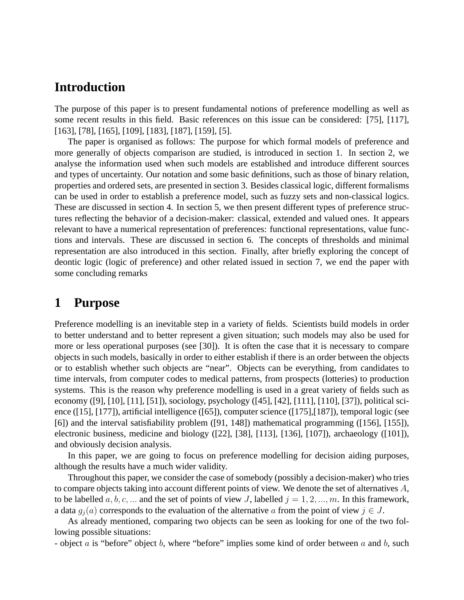## **Introduction**

The purpose of this paper is to present fundamental notions of preference modelling as well as some recent results in this field. Basic references on this issue can be considered: [75], [117], [163], [78], [165], [109], [183], [187], [159], [5].

The paper is organised as follows: The purpose for which formal models of preference and more generally of objects comparison are studied, is introduced in section 1. In section 2, we analyse the information used when such models are established and introduce different sources and types of uncertainty. Our notation and some basic definitions, such as those of binary relation, properties and ordered sets, are presented in section 3. Besides classical logic, different formalisms can be used in order to establish a preference model, such as fuzzy sets and non-classical logics. These are discussed in section 4. In section 5, we then present different types of preference structures reflecting the behavior of a decision-maker: classical, extended and valued ones. It appears relevant to have a numerical representation of preferences: functional representations, value functions and intervals. These are discussed in section 6. The concepts of thresholds and minimal representation are also introduced in this section. Finally, after briefly exploring the concept of deontic logic (logic of preference) and other related issued in section 7, we end the paper with some concluding remarks

## **1 Purpose**

Preference modelling is an inevitable step in a variety of fields. Scientists build models in order to better understand and to better represent a given situation; such models may also be used for more or less operational purposes (see [30]). It is often the case that it is necessary to compare objects in such models, basically in order to either establish if there is an order between the objects or to establish whether such objects are "near". Objects can be everything, from candidates to time intervals, from computer codes to medical patterns, from prospects (lotteries) to production systems. This is the reason why preference modelling is used in a great variety of fields such as economy ([9], [10], [11], [51]), sociology, psychology ([45], [42], [111], [110], [37]), political science ([15], [177]), artificial intelligence ([65]), computer science ([175],[187]), temporal logic (see [6]) and the interval satisfiability problem ([91, 148]) mathematical programming ([156], [155]), electronic business, medicine and biology ([22], [38], [113], [136], [107]), archaeology ([101]), and obviously decision analysis.

In this paper, we are going to focus on preference modelling for decision aiding purposes, although the results have a much wider validity.

Throughout this paper, we consider the case of somebody (possibly a decision-maker) who tries to compare objects taking into account different points of view. We denote the set of alternatives  $A$ , to be labelled a, b, c, ... and the set of points of view J, labelled  $j = 1, 2, ..., m$ . In this framework, a data  $q_i(a)$  corresponds to the evaluation of the alternative a from the point of view  $j \in J$ .

As already mentioned, comparing two objects can be seen as looking for one of the two following possible situations:

- object a is "before" object b, where "before" implies some kind of order between a and b, such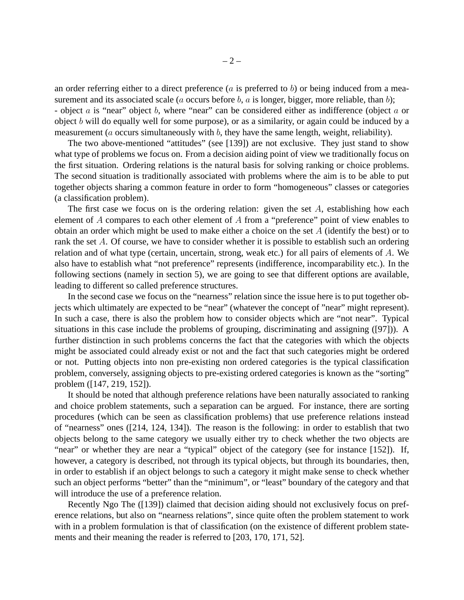an order referring either to a direct preference  $(a$  is preferred to  $b$ ) or being induced from a measurement and its associated scale ( $a$  occurs before  $b$ ,  $a$  is longer, bigger, more reliable, than  $b$ ); - object a is "near" object b, where "near" can be considered either as indifference (object a or object  $b$  will do equally well for some purpose), or as a similarity, or again could be induced by a measurement ( $a$  occurs simultaneously with  $b$ , they have the same length, weight, reliability).

The two above-mentioned "attitudes" (see [139]) are not exclusive. They just stand to show what type of problems we focus on. From a decision aiding point of view we traditionally focus on the first situation. Ordering relations is the natural basis for solving ranking or choice problems. The second situation is traditionally associated with problems where the aim is to be able to put together objects sharing a common feature in order to form "homogeneous" classes or categories (a classification problem).

The first case we focus on is the ordering relation: given the set  $A$ , establishing how each element of A compares to each other element of A from a "preference" point of view enables to obtain an order which might be used to make either a choice on the set A (identify the best) or to rank the set A. Of course, we have to consider whether it is possible to establish such an ordering relation and of what type (certain, uncertain, strong, weak etc.) for all pairs of elements of A. We also have to establish what "not preference" represents (indifference, incomparability etc.). In the following sections (namely in section 5), we are going to see that different options are available, leading to different so called preference structures.

In the second case we focus on the "nearness" relation since the issue here is to put together objects which ultimately are expected to be "near" (whatever the concept of "near" might represent). In such a case, there is also the problem how to consider objects which are "not near". Typical situations in this case include the problems of grouping, discriminating and assigning ([97])). A further distinction in such problems concerns the fact that the categories with which the objects might be associated could already exist or not and the fact that such categories might be ordered or not. Putting objects into non pre-existing non ordered categories is the typical classification problem, conversely, assigning objects to pre-existing ordered categories is known as the "sorting" problem ([147, 219, 152]).

It should be noted that although preference relations have been naturally associated to ranking and choice problem statements, such a separation can be argued. For instance, there are sorting procedures (which can be seen as classification problems) that use preference relations instead of "nearness" ones ([214, 124, 134]). The reason is the following: in order to establish that two objects belong to the same category we usually either try to check whether the two objects are "near" or whether they are near a "typical" object of the category (see for instance [152]). If, however, a category is described, not through its typical objects, but through its boundaries, then, in order to establish if an object belongs to such a category it might make sense to check whether such an object performs "better" than the "minimum", or "least" boundary of the category and that will introduce the use of a preference relation.

Recently Ngo The ([139]) claimed that decision aiding should not exclusively focus on preference relations, but also on "nearness relations", since quite often the problem statement to work with in a problem formulation is that of classification (on the existence of different problem statements and their meaning the reader is referred to [203, 170, 171, 52].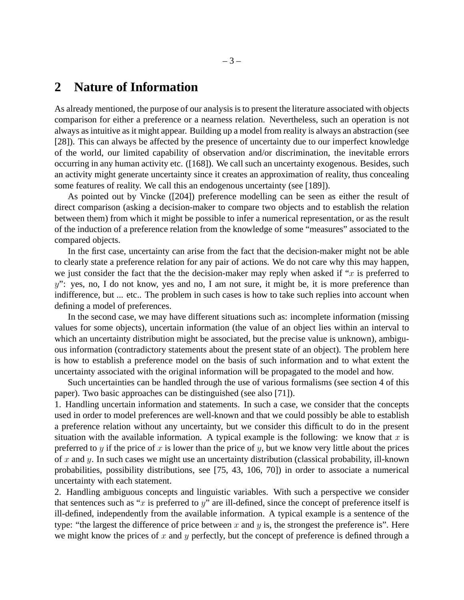### **2 Nature of Information**

As already mentioned, the purpose of our analysis is to present the literature associated with objects comparison for either a preference or a nearness relation. Nevertheless, such an operation is not always as intuitive as it might appear. Building up a model from reality is always an abstraction (see [28]). This can always be affected by the presence of uncertainty due to our imperfect knowledge of the world, our limited capability of observation and/or discrimination, the inevitable errors occurring in any human activity etc. ([168]). We call such an uncertainty exogenous. Besides, such an activity might generate uncertainty since it creates an approximation of reality, thus concealing some features of reality. We call this an endogenous uncertainty (see [189]).

As pointed out by Vincke ([204]) preference modelling can be seen as either the result of direct comparison (asking a decision-maker to compare two objects and to establish the relation between them) from which it might be possible to infer a numerical representation, or as the result of the induction of a preference relation from the knowledge of some "measures" associated to the compared objects.

In the first case, uncertainty can arise from the fact that the decision-maker might not be able to clearly state a preference relation for any pair of actions. We do not care why this may happen, we just consider the fact that the the decision-maker may reply when asked if "x is preferred to  $y$ ": yes, no, I do not know, yes and no, I am not sure, it might be, it is more preference than indifference, but ... etc.. The problem in such cases is how to take such replies into account when defining a model of preferences.

In the second case, we may have different situations such as: incomplete information (missing values for some objects), uncertain information (the value of an object lies within an interval to which an uncertainty distribution might be associated, but the precise value is unknown), ambiguous information (contradictory statements about the present state of an object). The problem here is how to establish a preference model on the basis of such information and to what extent the uncertainty associated with the original information will be propagated to the model and how.

Such uncertainties can be handled through the use of various formalisms (see section 4 of this paper). Two basic approaches can be distinguished (see also [71]).

1. Handling uncertain information and statements. In such a case, we consider that the concepts used in order to model preferences are well-known and that we could possibly be able to establish a preference relation without any uncertainty, but we consider this difficult to do in the present situation with the available information. A typical example is the following: we know that  $x$  is preferred to y if the price of x is lower than the price of y, but we know very little about the prices of x and y. In such cases we might use an uncertainty distribution (classical probability, ill-known probabilities, possibility distributions, see [75, 43, 106, 70]) in order to associate a numerical uncertainty with each statement.

2. Handling ambiguous concepts and linguistic variables. With such a perspective we consider that sentences such as "x is preferred to y" are ill-defined, since the concept of preference itself is ill-defined, independently from the available information. A typical example is a sentence of the type: "the largest the difference of price between x and y is, the strongest the preference is". Here we might know the prices of  $x$  and  $y$  perfectly, but the concept of preference is defined through a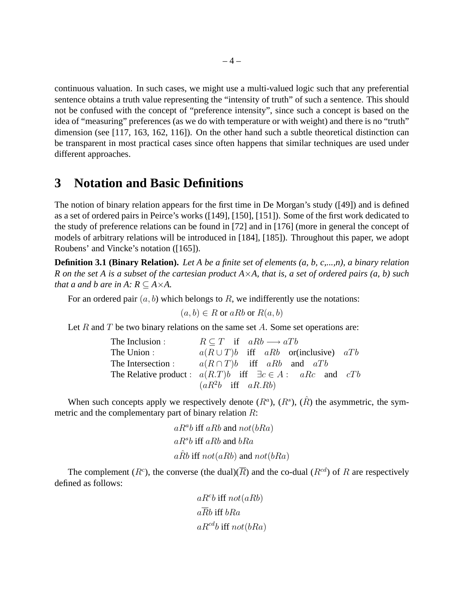continuous valuation. In such cases, we might use a multi-valued logic such that any preferential sentence obtains a truth value representing the "intensity of truth" of such a sentence. This should not be confused with the concept of "preference intensity", since such a concept is based on the idea of "measuring" preferences (as we do with temperature or with weight) and there is no "truth" dimension (see [117, 163, 162, 116]). On the other hand such a subtle theoretical distinction can be transparent in most practical cases since often happens that similar techniques are used under different approaches.

## **3 Notation and Basic Definitions**

The notion of binary relation appears for the first time in De Morgan's study ([49]) and is defined as a set of ordered pairs in Peirce's works ([149], [150], [151]). Some of the first work dedicated to the study of preference relations can be found in [72] and in [176] (more in general the concept of models of arbitrary relations will be introduced in [184], [185]). Throughout this paper, we adopt Roubens' and Vincke's notation ([165]).

**Definition 3.1 (Binary Relation).** *Let A be a finite set of elements (a, b, c,...,n), a binary relation R on the set A is a subset of the cartesian product A*×*A, that is, a set of ordered pairs (a, b) such that a and b are in A:*  $R \subseteq A \times A$ .

For an ordered pair  $(a, b)$  which belongs to R, we indifferently use the notations:

$$
(a, b) \in R
$$
 or aRb or  $R(a, b)$ 

Let  $R$  and  $T$  be two binary relations on the same set  $A$ . Some set operations are:

| The Inclusion : | $R \subseteq T$ if $aRb \longrightarrow aTb$                           |  |
|-----------------|------------------------------------------------------------------------|--|
| The Union:      | $a(R \cup T)b$ iff aRb or(inclusive) aTb                               |  |
|                 | The Intersection : $a(R \cap T)b$ iff aRb and aTb                      |  |
|                 | The Relative product : $a(R.T)b$ iff $\exists c \in A : aRc$ and $cTb$ |  |
|                 | $(aR^2b$ iff $aR.Rb)$                                                  |  |

When such concepts apply we respectively denote  $(R^a)$ ,  $(R^s)$ ,  $(\hat{R})$  the asymmetric, the symmetric and the complementary part of binary relation  $R$ :

> $aR^ab$  iff  $aRb$  and  $not(bRa)$  $aR<sup>s</sup>b$  iff  $aRb$  and  $bRa$  $a\hat{R}b$  iff  $not(aRb)$  and  $not(bRa)$

The complement ( $R^c$ ), the converse (the dual)( $\overline{R}$ ) and the co-dual ( $R^{cd}$ ) of R are respectively defined as follows:

> $aR<sup>c</sup>b$  iff  $not(aRb)$  $a\overline{R}b$  iff  $bRa$  $aR^{cd}b$  iff  $not(bRa)$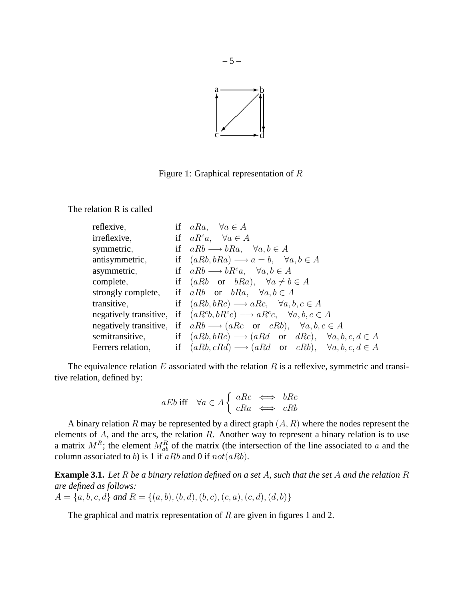

Figure 1: Graphical representation of R

The relation R is called

| reflexive,     | if $aRa$ , $\forall a \in A$                                                                       |
|----------------|----------------------------------------------------------------------------------------------------|
| irreflexive,   | if $a R^c a$ , $\forall a \in A$                                                                   |
| symmetric,     | if $aRb \longrightarrow bRa$ , $\forall a, b \in A$                                                |
| antisymmetric, | if $(aRb, bRa) \longrightarrow a = b$ , $\forall a, b \in A$                                       |
| asymmetric,    | if $aRb \longrightarrow bR^c a$ , $\forall a, b \in A$                                             |
| complete,      | if $(aRb$ or $bRa$ , $\forall a \neq b \in A$                                                      |
|                | strongly complete, if aRb or $bRa$ , $\forall a, b \in A$                                          |
| transitive,    | if $(aRb, bRc) \longrightarrow aRc$ , $\forall a, b, c \in A$                                      |
|                | negatively transitive, if $(aR^cb, bR^cc) \longrightarrow aR^cc$ , $\forall a, b, c \in A$         |
|                | negatively transitive, if $aRb \longrightarrow (aRc$ or $cRb$ , $\forall a, b, c \in A$            |
|                | semitransitive, if $(aRb, bRc) \longrightarrow (aRd \text{ or } dRc)$ , $\forall a, b, c, d \in A$ |
|                | Ferrers relation, if $(aRb, cRd) \rightarrow (aRd \text{ or } cRb)$ , $\forall a, b, c, d \in A$   |

The equivalence relation  $E$  associated with the relation  $R$  is a reflexive, symmetric and transitive relation, defined by:

$$
aEb \text{ iff } \forall a \in A \left\{ \begin{array}{l} aRc \iff bRc \\ cRa \iff cRb \end{array} \right.
$$

A binary relation R may be represented by a direct graph  $(A, R)$  where the nodes represent the elements of  $A$ , and the arcs, the relation  $R$ . Another way to represent a binary relation is to use a matrix  $M^R$ ; the element  $M^R_{ab}$  of the matrix (the intersection of the line associated to a and the column associated to b) is 1 if  $aRb$  and 0 if  $not(aRb)$ .

**Example 3.1.** *Let* R *be a binary relation defined on a set* A*, such that the set* A *and the relation* R *are defined as follows:*

 $A = \{a, b, c, d\}$  and  $R = \{(a, b), (b, d), (b, c), (c, a), (c, d), (d, b)\}$ 

The graphical and matrix representation of  $R$  are given in figures 1 and 2.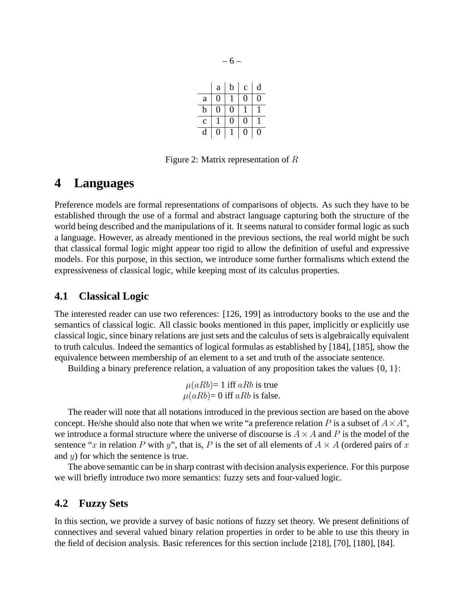|             | a | b | $\mathbf c$ | d |
|-------------|---|---|-------------|---|
| a           | 0 |   | 0           | N |
| b           | 0 | 0 |             |   |
| $\mathbf c$ |   | 0 | 0           |   |
| d           | 0 |   | $\theta$    | 0 |

Figure 2: Matrix representation of R

### **4 Languages**

Preference models are formal representations of comparisons of objects. As such they have to be established through the use of a formal and abstract language capturing both the structure of the world being described and the manipulations of it. It seems natural to consider formal logic as such a language. However, as already mentioned in the previous sections, the real world might be such that classical formal logic might appear too rigid to allow the definition of useful and expressive models. For this purpose, in this section, we introduce some further formalisms which extend the expressiveness of classical logic, while keeping most of its calculus properties.

### **4.1 Classical Logic**

The interested reader can use two references: [126, 199] as introductory books to the use and the semantics of classical logic. All classic books mentioned in this paper, implicitly or explicitly use classical logic, since binary relations are just sets and the calculus of sets is algebraically equivalent to truth calculus. Indeed the semantics of logical formulas as established by [184], [185], show the equivalence between membership of an element to a set and truth of the associate sentence.

Building a binary preference relation, a valuation of any proposition takes the values  $\{0, 1\}$ :

$$
\mu(aRb)=1 \text{ iff } aRb \text{ is true}
$$
  

$$
\mu(aRb)=0 \text{ iff } aRb \text{ is false.}
$$

The reader will note that all notations introduced in the previous section are based on the above concept. He/she should also note that when we write "a preference relation P is a subset of  $A \times A$ ", we introduce a formal structure where the universe of discourse is  $A \times A$  and P is the model of the sentence "x in relation P with y", that is, P is the set of all elements of  $A \times A$  (ordered pairs of x and  $y$ ) for which the sentence is true.

The above semantic can be in sharp contrast with decision analysis experience. For this purpose we will briefly introduce two more semantics: fuzzy sets and four-valued logic.

### **4.2 Fuzzy Sets**

In this section, we provide a survey of basic notions of fuzzy set theory. We present definitions of connectives and several valued binary relation properties in order to be able to use this theory in the field of decision analysis. Basic references for this section include [218], [70], [180], [84].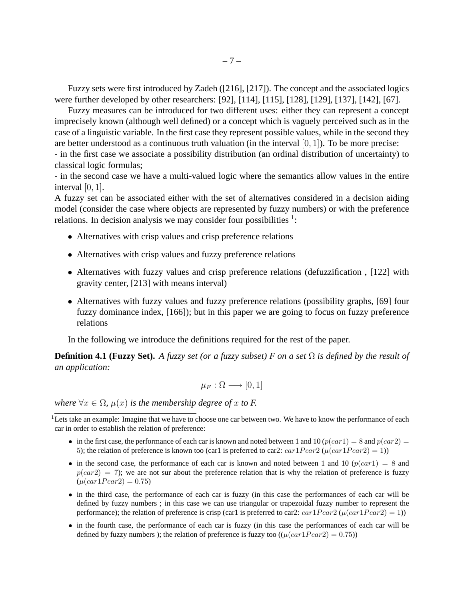Fuzzy sets were first introduced by Zadeh ([216], [217]). The concept and the associated logics were further developed by other researchers: [92], [114], [115], [128], [129], [137], [142], [67].

Fuzzy measures can be introduced for two different uses: either they can represent a concept imprecisely known (although well defined) or a concept which is vaguely perceived such as in the case of a linguistic variable. In the first case they represent possible values, while in the second they are better understood as a continuous truth valuation (in the interval  $[0, 1]$ ). To be more precise:

- in the first case we associate a possibility distribution (an ordinal distribution of uncertainty) to classical logic formulas;

- in the second case we have a multi-valued logic where the semantics allow values in the entire interval  $[0, 1]$ .

A fuzzy set can be associated either with the set of alternatives considered in a decision aiding model (consider the case where objects are represented by fuzzy numbers) or with the preference relations. In decision analysis we may consider four possibilities  $1$ :

- Alternatives with crisp values and crisp preference relations
- Alternatives with crisp values and fuzzy preference relations
- Alternatives with fuzzy values and crisp preference relations (defuzzification, [122] with gravity center, [213] with means interval)
- Alternatives with fuzzy values and fuzzy preference relations (possibility graphs, [69] four fuzzy dominance index, [166]); but in this paper we are going to focus on fuzzy preference relations

In the following we introduce the definitions required for the rest of the paper.

**Definition 4.1 (Fuzzy Set).** *A fuzzy set (or a fuzzy subset) F on a set*  $\Omega$  *is defined by the result of an application:*

$$
\mu_F : \Omega \longrightarrow [0,1]
$$

*where*  $\forall x \in \Omega$ ,  $\mu(x)$  *is the membership degree of x to F.* 

 $1$ Lets take an example: Imagine that we have to choose one car between two. We have to know the performance of each car in order to establish the relation of preference:

- in the first case, the performance of each car is known and noted between 1 and 10 ( $p(car1) = 8$  and  $p(car2) = 8$ 5); the relation of preference is known too (car1 is preferred to car2:  $car1Pcar2$  ( $\mu (car1Pcar2) = 1$ ))
- in the second case, the performance of each car is known and noted between 1 and 10  $(p(car1) = 8$  and  $p(car2) = 7$ ; we are not sur about the preference relation that is why the relation of preference is fuzzy  $(\mu(car1P car2) = 0.75)$
- in the third case, the performance of each car is fuzzy (in this case the performances of each car will be defined by fuzzy numbers ; in this case we can use triangular or trapezoidal fuzzy number to represent the performance); the relation of preference is crisp (car1 is preferred to car2:  $car1Pcar2$  ( $\mu (car1Pcar2) = 1$ ))
- in the fourth case, the performance of each car is fuzzy (in this case the performances of each car will be defined by fuzzy numbers ); the relation of preference is fuzzy too  $((\mu(c\alpha r1Pear2) = 0.75))$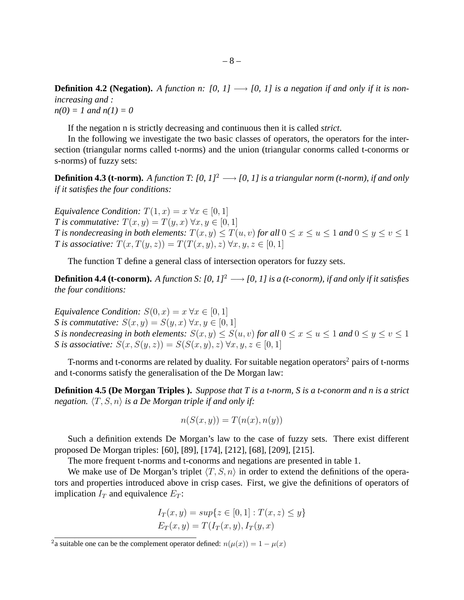**Definition 4.2 (Negation).** A function n: [0, 1]  $\rightarrow$  [0, 1] is a negation if and only if it is non*increasing and :*  $n(0) = 1$  and  $n(1) = 0$ 

If the negation n is strictly decreasing and continuous then it is called *strict*.

In the following we investigate the two basic classes of operators, the operators for the intersection (triangular norms called t-norms) and the union (triangular conorms called t-conorms or s-norms) of fuzzy sets:

**Definition 4.3 (t-norm).** *A function T:* [0, 1]<sup>2</sup>  $\longrightarrow$  [0, 1] is a triangular norm (t-norm), if and only *if it satisfies the four conditions:*

*Equivalence Condition:*  $T(1, x) = x \,\forall x \in [0, 1]$ *T* is commutative:  $T(x, y) = T(y, x) \forall x, y \in [0, 1]$ *T* is nondecreasing in both elements:  $T(x, y) \leq T(u, v)$  for all  $0 \leq x \leq u \leq 1$  and  $0 \leq y \leq v \leq 1$ *T* is associative:  $T(x, T(y, z)) = T(T(x, y), z) \forall x, y, z \in [0, 1]$ 

The function T define a general class of intersection operators for fuzzy sets.

**Definition 4.4 (t-conorm).** *A function S:*  $[0, 1]^2 \rightarrow [0, 1]$  *is a (t-conorm), if and only if it satisfies the four conditions:*

*Equivalence Condition:*  $S(0, x) = x \,\forall x \in [0, 1]$ *S* is commutative:  $S(x, y) = S(y, x) \forall x, y \in [0, 1]$ *S* is nondecreasing in both elements:  $S(x, y) \leq S(u, v)$  for all  $0 \leq x \leq u \leq 1$  and  $0 \leq y \leq v \leq 1$ *S* is associative:  $S(x, S(y, z)) = S(S(x, y), z) \forall x, y, z \in [0, 1]$ 

T-norms and t-conorms are related by duality. For suitable negation operators<sup>2</sup> pairs of t-norms and t-conorms satisfy the generalisation of the De Morgan law:

**Definition 4.5 (De Morgan Triples ).** *Suppose that T is a t-norm, S is a t-conorm and n is a strict negation.*  $\langle T, S, n \rangle$  *is a De Morgan triple if and only if:* 

$$
n(S(x, y)) = T(n(x), n(y))
$$

Such a definition extends De Morgan's law to the case of fuzzy sets. There exist different proposed De Morgan triples: [60], [89], [174], [212], [68], [209], [215].

The more frequent t-norms and t-conorms and negations are presented in table 1.

We make use of De Morgan's triplet  $\langle T, S, n \rangle$  in order to extend the definitions of the operators and properties introduced above in crisp cases. First, we give the definitions of operators of implication  $I_T$  and equivalence  $E_T$ :

$$
I_T(x, y) = \sup\{z \in [0, 1] : T(x, z) \le y\}
$$
  

$$
E_T(x, y) = T(I_T(x, y), I_T(y, x)
$$

<sup>&</sup>lt;sup>2</sup> a suitable one can be the complement operator defined:  $n(\mu(x)) = 1 - \mu(x)$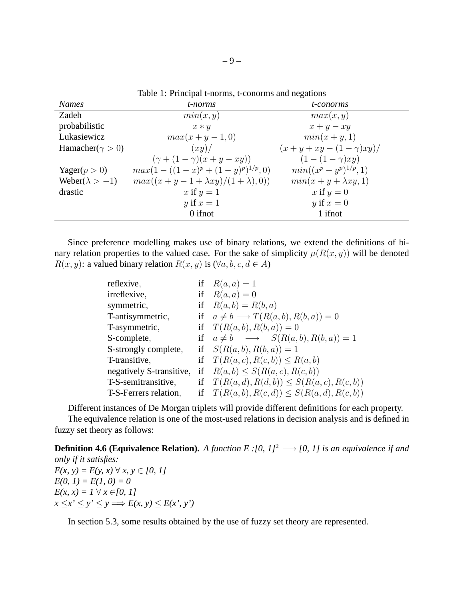Table 1: Principal t-norms, t-conorms and negations

| <b>Names</b>             | t-norms                                  | t-conorms                    |
|--------------------------|------------------------------------------|------------------------------|
| Zadeh                    | min(x, y)                                | max(x, y)                    |
| probabilistic            | $x * y$                                  | $x + y - xy$                 |
| Lukasiewicz              | $max(x + y - 1, 0)$                      | $min(x+y,1)$                 |
| Hamacher( $\gamma > 0$ ) | (xy)/                                    | $(x+y+xy-(1-\gamma)xy)$      |
|                          | $(\gamma + (1 - \gamma)(x + y - xy))$    | $(1-(1-\gamma)xy)$           |
| Yager( $p > 0$ )         | $max(1-((1-x)^p+(1-y)^p)^{1/p},0)$       | $min((x^p+y^p)^{1/p},1)$     |
| Weber( $\lambda > -1$ )  | $max((x+y-1+\lambda xy)/(1+\lambda),0))$ | $min(x + y + \lambda xy, 1)$ |
| drastic                  | x if $y=1$                               | x if $y=0$                   |
|                          | y if $x=1$                               | y if $x=0$                   |
|                          | $0$ if not                               | 1 ifnot                      |

Since preference modelling makes use of binary relations, we extend the definitions of binary relation properties to the valued case. For the sake of simplicity  $\mu(R(x, y))$  will be denoted  $R(x, y)$ : a valued binary relation  $R(x, y)$  is  $(\forall a, b, c, d \in A)$ 

| reflexive,               | if $R(a,a) = 1$                                           |
|--------------------------|-----------------------------------------------------------|
| irreflexive,             | if $R(a,a) = 0$                                           |
| symmetric,               | if $R(a,b) = R(b,a)$                                      |
| T-antisymmetric,         | if $a \neq b \longrightarrow T(R(a, b), R(b, a)) = 0$     |
| T-asymmetric,            | if $T(R(a, b), R(b, a)) = 0$                              |
| S-complete,              | if $a \neq b$ $\longrightarrow$ $S(R(a, b), R(b, a)) = 1$ |
| S-strongly complete,     | if $S(R(a, b), R(b, a)) = 1$                              |
| T-transitive,            | if $T(R(a, c), R(c, b)) \leq R(a, b)$                     |
| negatively S-transitive, | if $R(a, b) \le S(R(a, c), R(c, b))$                      |
| T-S-semitransitive,      | if $T(R(a, d), R(d, b)) \leq S(R(a, c), R(c, b))$         |
| T-S-Ferrers relation,    | if $T(R(a, b), R(c, d)) \leq S(R(a, d), R(c, b))$         |

Different instances of De Morgan triplets will provide different definitions for each property.

The equivalence relation is one of the most-used relations in decision analysis and is defined in fuzzy set theory as follows:

**Definition 4.6 (Equivalence Relation).** *A function E :* [0, 1]<sup>2</sup>  $\longrightarrow$  [0, 1] is an equivalence if and *only if it satisfies:*  $E(x, y) = E(y, x) \forall x, y \in [0, 1]$  $E(0, 1) = E(1, 0) = 0$ 

 $E(x, x) = 1 \forall x \in [0, 1]$  $x \leq x' \leq y' \leq y \Longrightarrow E(x, y) \leq E(x', y')$ 

In section 5.3, some results obtained by the use of fuzzy set theory are represented.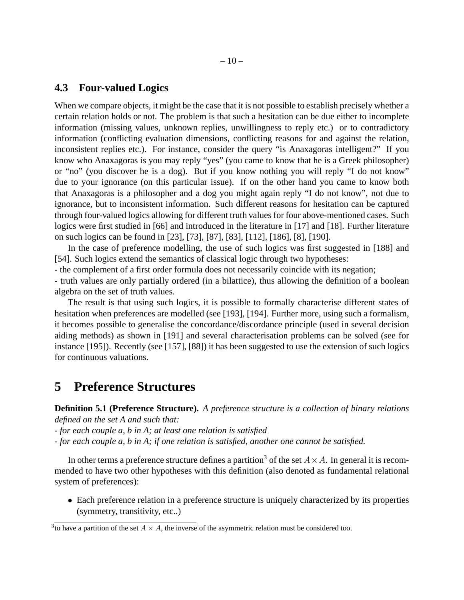### **4.3 Four-valued Logics**

When we compare objects, it might be the case that it is not possible to establish precisely whether a certain relation holds or not. The problem is that such a hesitation can be due either to incomplete information (missing values, unknown replies, unwillingness to reply etc.) or to contradictory information (conflicting evaluation dimensions, conflicting reasons for and against the relation, inconsistent replies etc.). For instance, consider the query "is Anaxagoras intelligent?" If you know who Anaxagoras is you may reply "yes" (you came to know that he is a Greek philosopher) or "no" (you discover he is a dog). But if you know nothing you will reply "I do not know" due to your ignorance (on this particular issue). If on the other hand you came to know both that Anaxagoras is a philosopher and a dog you might again reply "I do not know", not due to ignorance, but to inconsistent information. Such different reasons for hesitation can be captured through four-valued logics allowing for different truth values for four above-mentioned cases. Such logics were first studied in [66] and introduced in the literature in [17] and [18]. Further literature on such logics can be found in [23], [73], [87], [83], [112], [186], [8], [190].

In the case of preference modelling, the use of such logics was first suggested in [188] and [54]. Such logics extend the semantics of classical logic through two hypotheses:

- the complement of a first order formula does not necessarily coincide with its negation;

- truth values are only partially ordered (in a bilattice), thus allowing the definition of a boolean algebra on the set of truth values.

The result is that using such logics, it is possible to formally characterise different states of hesitation when preferences are modelled (see [193], [194]. Further more, using such a formalism, it becomes possible to generalise the concordance/discordance principle (used in several decision aiding methods) as shown in [191] and several characterisation problems can be solved (see for instance [195]). Recently (see [157], [88]) it has been suggested to use the extension of such logics for continuous valuations.

## **5 Preference Structures**

**Definition 5.1 (Preference Structure).** *A preference structure is a collection of binary relations defined on the set A and such that:*

*- for each couple a, b in A; at least one relation is satisfied*

*- for each couple a, b in A; if one relation is satisfied, another one cannot be satisfied.*

In other terms a preference structure defines a partition<sup>3</sup> of the set  $A \times A$ . In general it is recommended to have two other hypotheses with this definition (also denoted as fundamental relational system of preferences):

• Each preference relation in a preference structure is uniquely characterized by its properties (symmetry, transitivity, etc..)

<sup>&</sup>lt;sup>3</sup> to have a partition of the set  $A \times A$ , the inverse of the asymmetric relation must be considered too.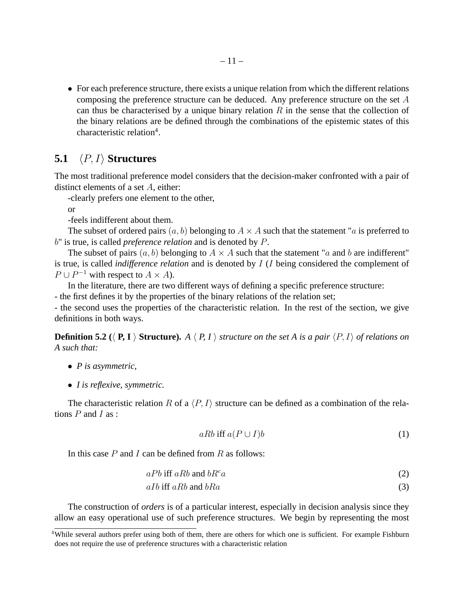• For each preference structure, there exists a unique relation from which the different relations composing the preference structure can be deduced. Any preference structure on the set A can thus be characterised by a unique binary relation  $R$  in the sense that the collection of the binary relations are be defined through the combinations of the epistemic states of this characteristic relation<sup>4</sup>.

### **5.1**  $\langle P, I \rangle$  **Structures**

The most traditional preference model considers that the decision-maker confronted with a pair of distinct elements of a set A, either:

-clearly prefers one element to the other,

or

-feels indifferent about them.

The subset of ordered pairs  $(a, b)$  belonging to  $A \times A$  such that the statement "a is preferred to b" is true, is called *preference relation* and is denoted by P.

The subset of pairs  $(a, b)$  belonging to  $A \times A$  such that the statement "a and b are indifferent" is true, is called *indifference relation* and is denoted by I (I being considered the complement of  $P \cup P^{-1}$  with respect to  $A \times A$ ).

In the literature, there are two different ways of defining a specific preference structure:

- the first defines it by the properties of the binary relations of the relation set;

- the second uses the properties of the characteristic relation. In the rest of the section, we give definitions in both ways.

**Definition 5.2** ( $\langle$  **P, I**  $\rangle$  **Structure).** *A*  $\langle$  *P, I* $\rangle$  *structure on the set A is a pair*  $\langle$  *P, I* $\rangle$  *of relations on A such that:*

- *P is asymmetric,*
- *I is reflexive, symmetric.*

The characteristic relation R of a  $\langle P, I \rangle$  structure can be defined as a combination of the relations  $P$  and  $I$  as :

$$
aRb \text{ iff } a(P \cup I)b \tag{1}
$$

In this case  $P$  and  $I$  can be defined from  $R$  as follows:

$$
aPb \text{ iff } aRb \text{ and } bR^c a \tag{2}
$$

$$
aIb \text{ iff } aRb \text{ and } bRa \tag{3}
$$

The construction of *orders* is of a particular interest, especially in decision analysis since they allow an easy operational use of such preference structures. We begin by representing the most

<sup>&</sup>lt;sup>4</sup>While several authors prefer using both of them, there are others for which one is sufficient. For example Fishburn does not require the use of preference structures with a characteristic relation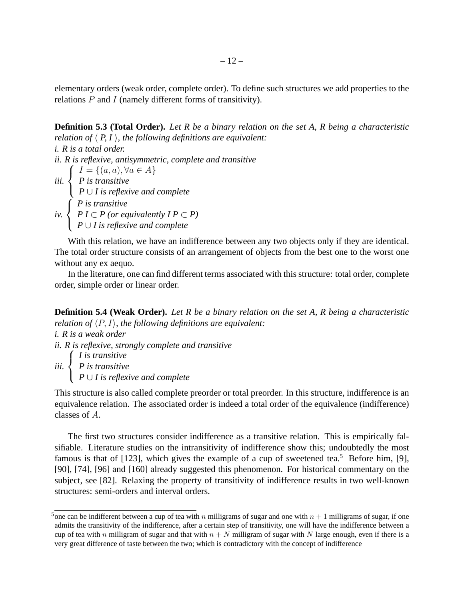elementary orders (weak order, complete order). To define such structures we add properties to the relations  $P$  and  $I$  (namely different forms of transitivity).

**Definition 5.3 (Total Order).** *Let R be a binary relation on the set A, R being a characteristic relation of*  $\langle P, I \rangle$ *, the following definitions are equivalent: i. R is a total order. ii. R is reflexive, antisymmetric, complete and transitive iii.*  $\sqrt{ }$  $\int$  $\mathcal{L}$  $I = \{(a, a), \forall a \in A\}$ *P is transitive P* ∪ *I is reflexive and complete iv.*  $\sqrt{ }$  $\int$  $\mathcal{L}$ *P is transitive P*  $I \subset P$  (or equivalently  $I P \subset P$ ) *P* ∪ *I is reflexive and complete*

With this relation, we have an indifference between any two objects only if they are identical. The total order structure consists of an arrangement of objects from the best one to the worst one without any ex aequo.

In the literature, one can find different terms associated with this structure: total order, complete order, simple order or linear order.

**Definition 5.4 (Weak Order).** *Let R be a binary relation on the set A, R being a characteristic relation of*  $\langle P, I \rangle$ *, the following definitions are equivalent:* 

*i. R is a weak order ii. R is reflexive, strongly complete and transitive iii.*  $\sqrt{ }$  $\int$  $\mathcal{L}$ *I is transitive P is transitive P* ∪ *I is reflexive and complete*

This structure is also called complete preorder or total preorder. In this structure, indifference is an equivalence relation. The associated order is indeed a total order of the equivalence (indifference) classes of A.

The first two structures consider indifference as a transitive relation. This is empirically falsifiable. Literature studies on the intransitivity of indifference show this; undoubtedly the most famous is that of  $[123]$ , which gives the example of a cup of sweetened tea.<sup>5</sup> Before him,  $[9]$ , [90], [74], [96] and [160] already suggested this phenomenon. For historical commentary on the subject, see [82]. Relaxing the property of transitivity of indifference results in two well-known structures: semi-orders and interval orders.

<sup>&</sup>lt;sup>5</sup>one can be indifferent between a cup of tea with n milligrams of sugar and one with  $n + 1$  milligrams of sugar, if one admits the transitivity of the indifference, after a certain step of transitivity, one will have the indifference between a cup of tea with n milligram of sugar and that with  $n + N$  milligram of sugar with N large enough, even if there is a very great difference of taste between the two; which is contradictory with the concept of indifference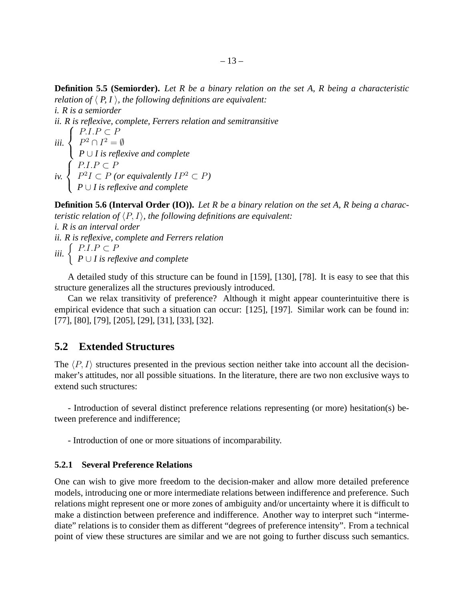**Definition 5.5 (Semiorder).** *Let R be a binary relation on the set A, R being a characteristic relation of*  $\langle P, I \rangle$ *, the following definitions are equivalent:* 

*i. R is a semiorder ii. R is reflexive, complete, Ferrers relation and semitransitive iii.*  $\sqrt{ }$  $\int$  $\mathcal{L}$  $P.I.P \subset P$  $P^2 \cap I^2 = \emptyset$ *P* ∪ *I is reflexive and complete iv.*  $\sqrt{ }$  $\int$  $\mathcal{L}$  $P.I.P \subset P$  $P^2I \subset P$  *(or equivalently*  $IP^2 \subset P$ *) P* ∪ *I is reflexive and complete*

**Definition 5.6 (Interval Order (IO)).** *Let R be a binary relation on the set A, R being a characteristic relation of*  $\langle P, I \rangle$ *, the following definitions are equivalent: i. R is an interval order ii. R is reflexive, complete and Ferrers relation iii.*  $\left\{ \begin{array}{c} P.I.P \subset P \\ P \cup I \text{ is met} \end{array} \right.$ *P* ∪ *I is reflexive and complete*

A detailed study of this structure can be found in [159], [130], [78]. It is easy to see that this structure generalizes all the structures previously introduced.

Can we relax transitivity of preference? Although it might appear counterintuitive there is empirical evidence that such a situation can occur: [125], [197]. Similar work can be found in: [77], [80], [79], [205], [29], [31], [33], [32].

### **5.2 Extended Structures**

The  $\langle P, I \rangle$  structures presented in the previous section neither take into account all the decisionmaker's attitudes, nor all possible situations. In the literature, there are two non exclusive ways to extend such structures:

- Introduction of several distinct preference relations representing (or more) hesitation(s) between preference and indifference;

- Introduction of one or more situations of incomparability.

#### **5.2.1 Several Preference Relations**

One can wish to give more freedom to the decision-maker and allow more detailed preference models, introducing one or more intermediate relations between indifference and preference. Such relations might represent one or more zones of ambiguity and/or uncertainty where it is difficult to make a distinction between preference and indifference. Another way to interpret such "intermediate" relations is to consider them as different "degrees of preference intensity". From a technical point of view these structures are similar and we are not going to further discuss such semantics.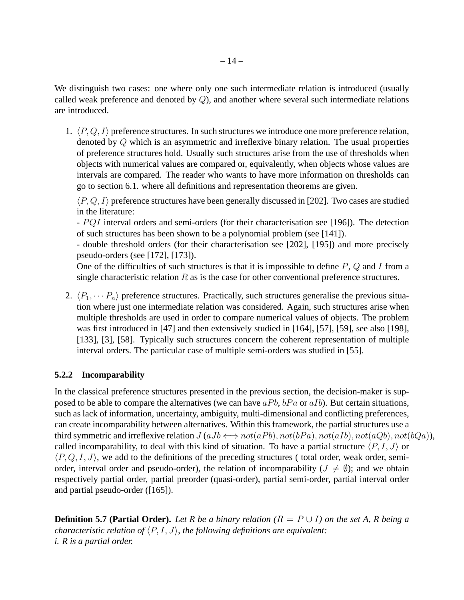We distinguish two cases: one where only one such intermediate relation is introduced (usually called weak preference and denoted by  $Q$ ), and another where several such intermediate relations are introduced.

1.  $\langle P, Q, I \rangle$  preference structures. In such structures we introduce one more preference relation, denoted by Q which is an asymmetric and irreflexive binary relation. The usual properties of preference structures hold. Usually such structures arise from the use of thresholds when objects with numerical values are compared or, equivalently, when objects whose values are intervals are compared. The reader who wants to have more information on thresholds can go to section 6.1. where all definitions and representation theorems are given.

 $\langle P, Q, I \rangle$  preference structures have been generally discussed in [202]. Two cases are studied in the literature:

 $-$  PQI interval orders and semi-orders (for their characterisation see [196]). The detection of such structures has been shown to be a polynomial problem (see [141]).

- double threshold orders (for their characterisation see [202], [195]) and more precisely pseudo-orders (see [172], [173]).

One of the difficulties of such structures is that it is impossible to define  $P$ ,  $Q$  and  $I$  from a single characteristic relation  $R$  as is the case for other conventional preference structures.

2.  $\langle P_1, \cdots, P_n \rangle$  preference structures. Practically, such structures generalise the previous situation where just one intermediate relation was considered. Again, such structures arise when multiple thresholds are used in order to compare numerical values of objects. The problem was first introduced in [47] and then extensively studied in [164], [57], [59], see also [198], [133], [3], [58]. Typically such structures concern the coherent representation of multiple interval orders. The particular case of multiple semi-orders was studied in [55].

### **5.2.2 Incomparability**

In the classical preference structures presented in the previous section, the decision-maker is supposed to be able to compare the alternatives (we can have  $aPb$ ,  $bPa$  or  $aIb$ ). But certain situations, such as lack of information, uncertainty, ambiguity, multi-dimensional and conflicting preferences, can create incomparability between alternatives. Within this framework, the partial structures use a third symmetric and irreflexive relation  $J(aJb \Longleftrightarrow not(aPb), not(bPa), not(aIb), not(aQb), not(bQa)),$ called incomparability, to deal with this kind of situation. To have a partial structure  $\langle P, I, J \rangle$  or  $\langle P, Q, I, J \rangle$ , we add to the definitions of the preceding structures ( total order, weak order, semiorder, interval order and pseudo-order), the relation of incomparability ( $J \neq \emptyset$ ); and we obtain respectively partial order, partial preorder (quasi-order), partial semi-order, partial interval order and partial pseudo-order ([165]).

**Definition 5.7 (Partial Order).** *Let R be a binary relation*  $(R = P \cup I)$  *on the set A, R being a characteristic relation of*  $\langle P, I, J \rangle$ *, the following definitions are equivalent: i. R is a partial order.*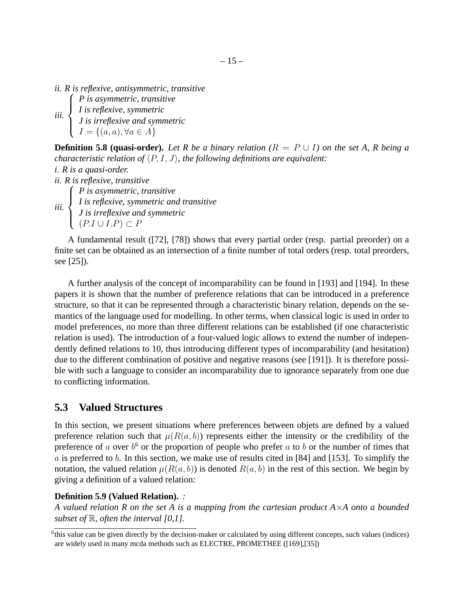*ii. R is reflexive, antisymmetric, transitive iii. P is asymmetric, transitive*  $\overline{\mathcal{L}}$ *I is reflexive, symmetric J is irreflexive and symmetric*  $I = \{(a, a), \forall a \in A\}$ 

**Definition 5.8 (quasi-order).** Let R be a binary relation  $(R = P \cup I)$  on the set A, R being a *characteristic relation of*  $\langle P, I, J \rangle$ *, the following definitions are equivalent:* 

*i. R is a quasi-order. ii. R is reflexive, transitive iii. P is asymmetric, transitive*  $\overline{\mathcal{L}}$ *I is reflexive, symmetric and transitive J is irreflexive and symmetric*  $(P.I \cup I.P) \subset P$ 

A fundamental result ([72], [78]) shows that every partial order (resp. partial preorder) on a finite set can be obtained as an intersection of a finite number of total orders (resp. total preorders, see [25]).

A further analysis of the concept of incomparability can be found in [193] and [194]. In these papers it is shown that the number of preference relations that can be introduced in a preference structure, so that it can be represented through a characteristic binary relation, depends on the semantics of the language used for modelling. In other terms, when classical logic is used in order to model preferences, no more than three different relations can be established (if one characteristic relation is used). The introduction of a four-valued logic allows to extend the number of independently defined relations to 10, thus introducing different types of incomparability (and hesitation) due to the different combination of positive and negative reasons (see [191]). It is therefore possible with such a language to consider an incomparability due to ignorance separately from one due to conflicting information.

### **5.3 Valued Structures**

In this section, we present situations where preferences between objets are defined by a valued preference relation such that  $\mu(R(a, b))$  represents either the intensity or the credibility of the preference of a over  $b^6$  or the proportion of people who prefer a to b or the number of times that  $a$  is preferred to  $b$ . In this section, we make use of results cited in [84] and [153]. To simplify the notation, the valued relation  $\mu(R(a, b))$  is denoted  $R(a, b)$  in the rest of this section. We begin by giving a definition of a valued relation:

#### **Definition 5.9 (Valued Relation).** *:*

*A valued relation R on the set A is a mapping from the cartesian product*  $A \times A$  *onto a bounded subset of* R*, often the interval [0,1].*

 $6$ this value can be given directly by the decision-maker or calculated by using different concepts, such values (indices) are widely used in many mcda methods such as ELECTRE, PROMETHEE ([169],[35])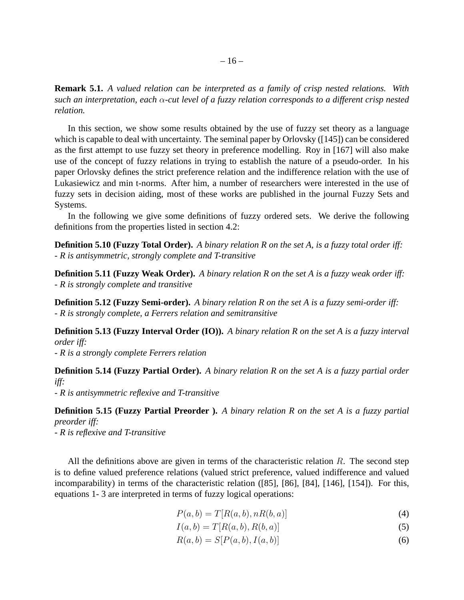**Remark 5.1.** *A valued relation can be interpreted as a family of crisp nested relations. With such an interpretation, each* α*-cut level of a fuzzy relation corresponds to a different crisp nested relation.*

In this section, we show some results obtained by the use of fuzzy set theory as a language which is capable to deal with uncertainty. The seminal paper by Orlovsky ([145]) can be considered as the first attempt to use fuzzy set theory in preference modelling. Roy in [167] will also make use of the concept of fuzzy relations in trying to establish the nature of a pseudo-order. In his paper Orlovsky defines the strict preference relation and the indifference relation with the use of Lukasiewicz and min t-norms. After him, a number of researchers were interested in the use of fuzzy sets in decision aiding, most of these works are published in the journal Fuzzy Sets and Systems.

In the following we give some definitions of fuzzy ordered sets. We derive the following definitions from the properties listed in section 4.2:

**Definition 5.10 (Fuzzy Total Order).** *A binary relation R on the set A, is a fuzzy total order iff: - R is antisymmetric, strongly complete and T-transitive*

**Definition 5.11 (Fuzzy Weak Order).** *A binary relation R on the set A is a fuzzy weak order iff: - R is strongly complete and transitive*

**Definition 5.12 (Fuzzy Semi-order).** *A binary relation R on the set A is a fuzzy semi-order iff: - R is strongly complete, a Ferrers relation and semitransitive*

**Definition 5.13 (Fuzzy Interval Order (IO)).** *A binary relation R on the set A is a fuzzy interval order iff:*

*- R is a strongly complete Ferrers relation*

**Definition 5.14 (Fuzzy Partial Order).** *A binary relation R on the set A is a fuzzy partial order iff:*

*- R is antisymmetric reflexive and T-transitive*

**Definition 5.15 (Fuzzy Partial Preorder ).** *A binary relation R on the set A is a fuzzy partial preorder iff:*

*- R is reflexive and T-transitive*

All the definitions above are given in terms of the characteristic relation  $R$ . The second step is to define valued preference relations (valued strict preference, valued indifference and valued incomparability) in terms of the characteristic relation ([85], [86], [84], [146], [154]). For this, equations 1- 3 are interpreted in terms of fuzzy logical operations:

$$
P(a,b) = T[R(a,b), nR(b,a)]
$$
\n<sup>(4)</sup>

$$
I(a, b) = T[R(a, b), R(b, a)]
$$
\n(5)

$$
R(a, b) = S[P(a, b), I(a, b)]
$$
 (6)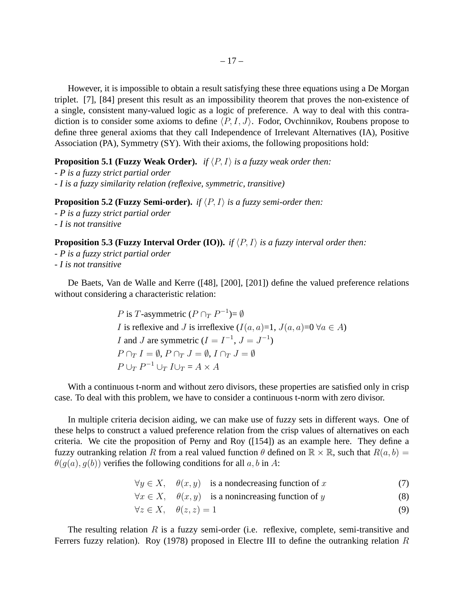However, it is impossible to obtain a result satisfying these three equations using a De Morgan triplet. [7], [84] present this result as an impossibility theorem that proves the non-existence of a single, consistent many-valued logic as a logic of preference. A way to deal with this contradiction is to consider some axioms to define  $\langle P, I, J \rangle$ . Fodor, Ovchinnikov, Roubens propose to define three general axioms that they call Independence of Irrelevant Alternatives (IA), Positive Association (PA), Symmetry (SY). With their axioms, the following propositions hold:

**Proposition 5.1 (Fuzzy Weak Order).** *if*  $\langle P, I \rangle$  *is a fuzzy weak order then:* 

*- P is a fuzzy strict partial order*

*- I is a fuzzy similarity relation (reflexive, symmetric, transitive)*

**Proposition 5.2 (Fuzzy Semi-order).** *if*  $\langle P, I \rangle$  *is a fuzzy semi-order then:* 

*- P is a fuzzy strict partial order*

*- I is not transitive*

#### **Proposition 5.3 (Fuzzy Interval Order (IO)).** *if*  $\langle P, I \rangle$  *is a fuzzy interval order then:*

*- P is a fuzzy strict partial order*

*- I is not transitive*

De Baets, Van de Walle and Kerre ([48], [200], [201]) define the valued preference relations without considering a characteristic relation:

> *P* is *T*-asymmetric  $(P \cap_T P^{-1}) = \emptyset$ I is reflexive and J is irreflexive  $(I(a, a)=1, J(a, a)=0 \ \forall a \in A)$ I and J are symmetric ( $I = I^{-1}$ ,  $J = J^{-1}$ )  $P \cap_T I = \emptyset, P \cap_T J = \emptyset, I \cap_T J = \emptyset$  $P \cup_T P^{-1} \cup_T I \cup_T A \times A$

With a continuous t-norm and without zero divisors, these properties are satisfied only in crisp case. To deal with this problem, we have to consider a continuous t-norm with zero divisor.

In multiple criteria decision aiding, we can make use of fuzzy sets in different ways. One of these helps to construct a valued preference relation from the crisp values of alternatives on each criteria. We cite the proposition of Perny and Roy ([154]) as an example here. They define a fuzzy outranking relation R from a real valued function  $\theta$  defined on  $\mathbb{R} \times \mathbb{R}$ , such that  $R(a, b) =$  $\theta(q(a), q(b))$  verifies the following conditions for all a, b in A:

 $\forall y \in X, \quad \theta(x, y)$  is a nondecreasing function of x (7)

$$
\forall x \in X, \quad \theta(x, y) \quad \text{is a nonincreasing function of } y \tag{8}
$$

 $\forall z \in X, \quad \theta(z, z) = 1$  (9)

The resulting relation  $R$  is a fuzzy semi-order (i.e. reflexive, complete, semi-transitive and Ferrers fuzzy relation). Roy (1978) proposed in Electre III to define the outranking relation  $R$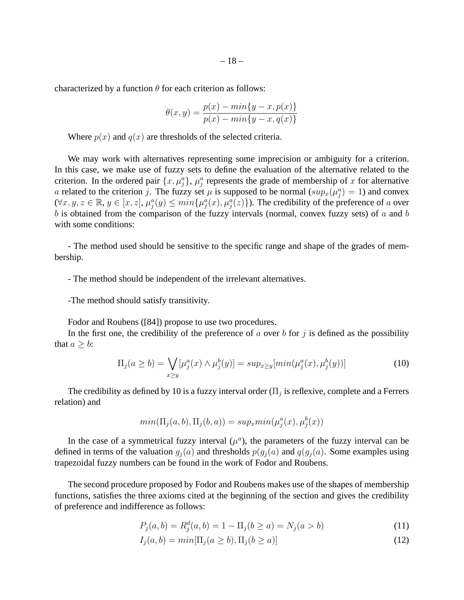characterized by a function  $\theta$  for each criterion as follows:

$$
\theta(x,y) = \frac{p(x) - \min\{y - x, p(x)\}}{p(x) - \min\{y - x, q(x)\}}
$$

Where  $p(x)$  and  $q(x)$  are thresholds of the selected criteria.

We may work with alternatives representing some imprecision or ambiguity for a criterion. In this case, we make use of fuzzy sets to define the evaluation of the alternative related to the criterion. In the ordered pair  $\{x, \mu_j^a\}$ ,  $\mu_j^a$  represents the grade of membership of x for alternative a related to the criterion j. The fuzzy set  $\mu$  is supposed to be normal  $(sup_x(\mu_j^a) = 1)$  and convex  $(\forall x, y, z \in \mathbb{R}, y \in [x, z], \mu_j^a(y) \le \min\{\mu_j^a(x), \mu_j^a(z)\})$ . The credibility of the preference of a over  $b$  is obtained from the comparison of the fuzzy intervals (normal, convex fuzzy sets) of  $a$  and  $b$ with some conditions:

- The method used should be sensitive to the specific range and shape of the grades of membership.

- The method should be independent of the irrelevant alternatives.

-The method should satisfy transitivity.

Fodor and Roubens ([84]) propose to use two procedures.

In the first one, the credibility of the preference of a over b for j is defined as the possibility that  $a \geq b$ :

$$
\Pi_j(a \ge b) = \bigvee_{x \ge y} [\mu_j^a(x) \wedge \mu_j^b(y)] = \sup_{x \ge y} [min(\mu_j^a(x), \mu_j^b(y))]
$$
\n(10)

The credibility as defined by 10 is a fuzzy interval order ( $\Pi_j$  is reflexive, complete and a Ferrers relation) and

$$
min(\Pi_j(a, b), \Pi_j(b, a)) = sup_xmin(\mu_j^a(x), \mu_j^b(x))
$$

In the case of a symmetrical fuzzy interval  $(\mu^a)$ , the parameters of the fuzzy interval can be defined in terms of the valuation  $g_i(a)$  and thresholds  $p(g_i(a))$  and  $q(g_i(a))$ . Some examples using trapezoidal fuzzy numbers can be found in the work of Fodor and Roubens.

The second procedure proposed by Fodor and Roubens makes use of the shapes of membership functions, satisfies the three axioms cited at the beginning of the section and gives the credibility of preference and indifference as follows:

$$
P_j(a,b) = R_j^d(a,b) = 1 - \Pi_j(b \ge a) = N_j(a > b)
$$
\n(11)

$$
I_j(a,b) = min[\Pi_j(a \ge b), \Pi_j(b \ge a)] \tag{12}
$$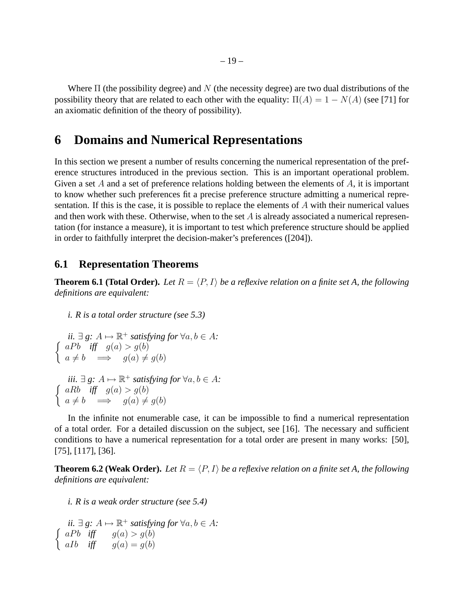Where  $\Pi$  (the possibility degree) and N (the necessity degree) are two dual distributions of the possibility theory that are related to each other with the equality:  $\Pi(A) = 1 - N(A)$  (see [71] for an axiomatic definition of the theory of possibility).

### **6 Domains and Numerical Representations**

In this section we present a number of results concerning the numerical representation of the preference structures introduced in the previous section. This is an important operational problem. Given a set A and a set of preference relations holding between the elements of A, it is important to know whether such preferences fit a precise preference structure admitting a numerical representation. If this is the case, it is possible to replace the elements of A with their numerical values and then work with these. Otherwise, when to the set  $A$  is already associated a numerical representation (for instance a measure), it is important to test which preference structure should be applied in order to faithfully interpret the decision-maker's preferences ([204]).

#### **6.1 Representation Theorems**

**Theorem 6.1 (Total Order).** Let  $R = \langle P, I \rangle$  be a reflexive relation on a finite set A, the following *definitions are equivalent:*

*i. R is a total order structure (see 5.3)*

*ii.*  $\exists g: A \mapsto \mathbb{R}^+$  $\int$ *satisfying for*  $\forall a, b \in A$ *:* aPb iff  $g(a) > g(b)$  $a \neq b \implies g(a) \neq g(b)$ *iii.*  $\exists g: A \mapsto \mathbb{R}^+$  $\int$ *satisfying for* ∀a, b ∈ A*:* aRb *iff*  $g(a) > g(b)$  $a \neq b \implies g(a) \neq g(b)$ 

In the infinite not enumerable case, it can be impossible to find a numerical representation of a total order. For a detailed discussion on the subject, see [16]. The necessary and sufficient conditions to have a numerical representation for a total order are present in many works: [50], [75], [117], [36].

**Theorem 6.2 (Weak Order).** Let  $R = \langle P, I \rangle$  be a reflexive relation on a finite set A, the following *definitions are equivalent:*

*i. R is a weak order structure (see 5.4)*

*ii.* ∃ *g*:  $A \mapsto \mathbb{R}^+$  *satisfying for*  $\forall a, b \in A$ *:*  $\int aPb$  *iff*  $g(a) > g(b)$ aIb iff  $g(a) = g(b)$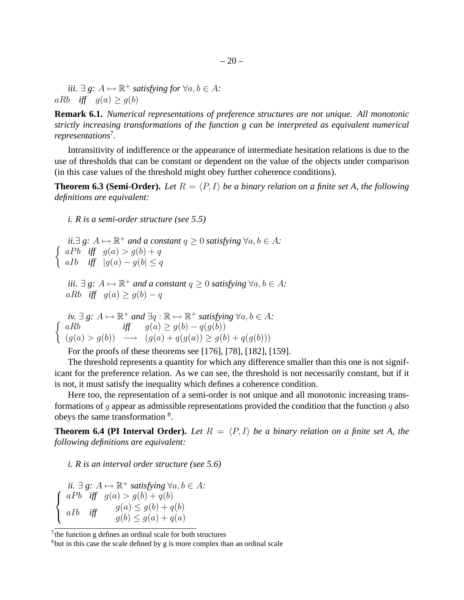*iii.*  $\exists g: A \mapsto \mathbb{R}^+$  *satisfying for*  $\forall a, b \in A$ *:* aRb *iff*  $q(a) > q(b)$ 

**Remark 6.1.** *Numerical representations of preference structures are not unique. All monotonic strictly increasing transformations of the function g can be interpreted as equivalent numerical representations*<sup>7</sup> *.*

Intransitivity of indifference or the appearance of intermediate hesitation relations is due to the use of thresholds that can be constant or dependent on the value of the objects under comparison (in this case values of the threshold might obey further coherence conditions).

**Theorem 6.3 (Semi-Order).** Let  $R = \langle P, I \rangle$  be a binary relation on a finite set A, the following *definitions are equivalent:*

*i. R is a semi-order structure (see 5.5)*

 $ii.\exists g: A \mapsto \mathbb{R}^+$  $\int$ *and a constant*  $q \geq 0$  *satisfying*  $\forall a, b \in A$ *:*  $aPb$  *iff*  $g(a) > g(b) + q$  $aIb$  *iff*  $|g(a) - g(b)| \leq q$ 

*iii.*  $\exists g: A \mapsto \mathbb{R}^+$  *and a constant*  $q \geq 0$  *satisfying*  $\forall a, b \in A$ *:* aRb *iff*  $g(a) \ge g(b) - q$ 

*iv.* 
$$
\exists g: A \mapsto \mathbb{R}^+
$$
 and  $\exists q: \mathbb{R} \mapsto \mathbb{R}^+$  satisfying  $\forall a, b \in A$ :  
\n
$$
\begin{cases}\n aRb & \text{iff} \quad g(a) \ge g(b) - q(g(b)) \\
 (g(a) > g(b)) & \longrightarrow \quad (g(a) + q(g(a)) \ge g(b) + q(g(b)))\n\end{cases}
$$

For the proofs of these theorems see [176], [78], [182], [159].

The threshold represents a quantity for which any difference smaller than this one is not significant for the preference relation. As we can see, the threshold is not necessarily constant, but if it is not, it must satisfy the inequality which defines a coherence condition.

Here too, the representation of a semi-order is not unique and all monotonic increasing transformations of g appear as admissible representations provided the condition that the function  $q$  also obeys the same transformation <sup>8</sup>.

**Theorem 6.4 (PI Interval Order).** Let  $R = \langle P, I \rangle$  be a binary relation on a finite set A, the *following definitions are equivalent:*

*i. R is an interval order structure (see 5.6)*

$$
\begin{cases}\n\text{ii. } \exists \ g \colon A \mapsto \mathbb{R}^+ \text{ satisfying } \forall a, b \in A: \\
\text{aPb} \quad \text{iff} \quad g(a) > g(b) + q(b) \\
\text{aIb} \quad \text{iff} \quad g(a) \le g(b) + q(b) \\
g(b) \le g(a) + q(a)\n\end{cases}
$$

<sup>7</sup> the function g defines an ordinal scale for both structures

<sup>8</sup>but in this case the scale defined by g is more complex than an ordinal scale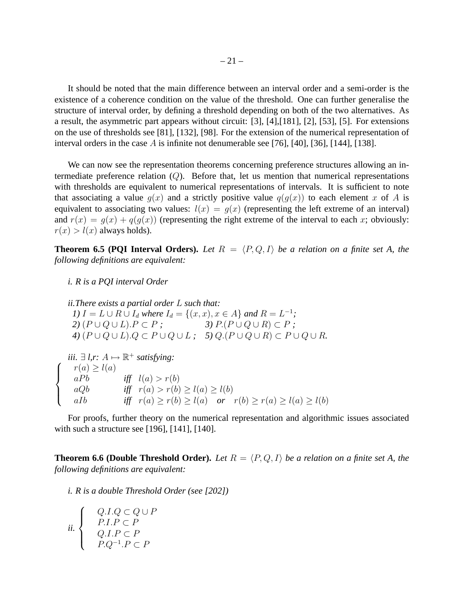It should be noted that the main difference between an interval order and a semi-order is the existence of a coherence condition on the value of the threshold. One can further generalise the structure of interval order, by defining a threshold depending on both of the two alternatives. As a result, the asymmetric part appears without circuit: [3], [4],[181], [2], [53], [5]. For extensions on the use of thresholds see [81], [132], [98]. For the extension of the numerical representation of interval orders in the case A is infinite not denumerable see [76], [40], [36], [144], [138].

We can now see the representation theorems concerning preference structures allowing an intermediate preference relation  $(Q)$ . Before that, let us mention that numerical representations with thresholds are equivalent to numerical representations of intervals. It is sufficient to note that associating a value  $q(x)$  and a strictly positive value  $q(q(x))$  to each element x of A is equivalent to associating two values:  $l(x) = q(x)$  (representing the left extreme of an interval) and  $r(x) = g(x) + q(g(x))$  (representing the right extreme of the interval to each x; obviously:  $r(x) > l(x)$  always holds).

**Theorem 6.5 (PQI Interval Orders).** Let  $R = \langle P, Q, I \rangle$  be a relation on a finite set A, the *following definitions are equivalent:*

*i. R is a PQI interval Order*

 $\sqrt{ }$  $\int$ 

 $\overline{\mathcal{L}}$ 

*ii.There exists a partial order* L *such that: 1*) *I* = *L*  $\cup$  *R*  $\cup$  *I<sub>d</sub> where I<sub>d</sub>* = {(*x, x*)*, x*  $\in$  *A*} *and R* = *L*<sup>-1</sup>*; 2*)  $(P \cup Q \cup L)$ .  $P \subset P$ ; *3)*  $P(P \cup Q \cup R) \subset P$ ; *4)* (P ∪ Q ∪ L).Q ⊂ P ∪ Q ∪ L *; 5)* Q.(P ∪ Q ∪ R) ⊂ P ∪ Q ∪ R*. iii.*  $\exists$  *l,r:*  $A \mapsto \mathbb{R}^+$  *satisfying:*  $r(a) \geq l(a)$ aPb iff  $l(a) > r(b)$  $aQb$  *iff*  $r(a) > r(b) \ge l(a) \ge l(b)$ aIb  $\qquad \qquad \text{iff} \quad r(a) \ge r(b) \ge l(a) \quad \text{or} \quad r(b) \ge r(a) \ge l(a) \ge l(b)$ 

For proofs, further theory on the numerical representation and algorithmic issues associated with such a structure see [196], [141], [140].

**Theorem 6.6 (Double Threshold Order).** Let  $R = \langle P, Q, I \rangle$  be a relation on a finite set A, the *following definitions are equivalent:*

*i. R is a double Threshold Order (see [202])*

$$
ii. \begin{cases} Q.I.Q \subset Q \cup P \\ P.I.P \subset P \\ Q.I.P \subset P \\ P.Q^{-1}.P \subset P \end{cases}
$$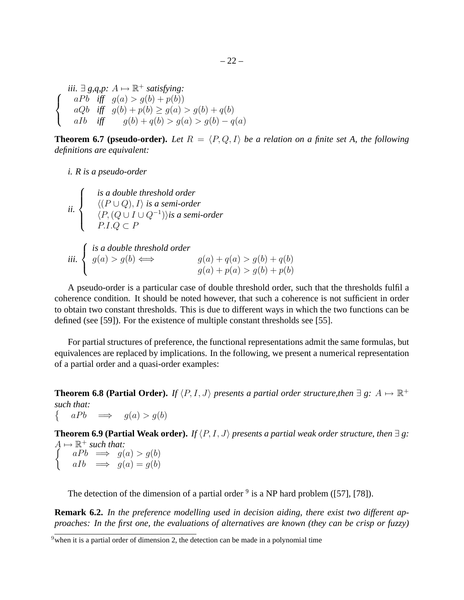*iii.*  $\exists g, q, p: A \mapsto \mathbb{R}^+$  *satisfying:*  $\sqrt{ }$  $\int$  $\mathcal{L}$  $aPb$  *iff*  $g(a) > g(b) + p(b)$  $aQb$  *iff*  $g(b) + p(b) \ge g(a) > g(b) + q(b)$  $aIb$  *iff*  $g(b) + q(b) > g(a) > g(b) - q(a)$ 

**Theorem 6.7 (pseudo-order).** Let  $R = \langle P, Q, I \rangle$  be a relation on a finite set A, the following *definitions are equivalent:*

*i. R is a pseudo-order*

*ii.*  $\sqrt{ }$  $\int$  $\overline{\mathcal{L}}$ *is a double threshold order*  $\langle (P \cup Q), I \rangle$  is a semi-order  $\langle P, (Q \cup I \cup Q^{-1})\rangle$ *is a semi-order*  $P.I.Q \subset P$ 

*iii.*  $\sqrt{ }$  $\int$  $\mathcal{L}$ *is a double threshold order*  $g(a) > g(b) \Longleftrightarrow$   $g(a) + q(a) > g(b) + q(b)$  $g(a) + p(a) > g(b) + p(b)$ 

A pseudo-order is a particular case of double threshold order, such that the thresholds fulfil a coherence condition. It should be noted however, that such a coherence is not sufficient in order to obtain two constant thresholds. This is due to different ways in which the two functions can be defined (see [59]). For the existence of multiple constant thresholds see [55].

For partial structures of preference, the functional representations admit the same formulas, but equivalences are replaced by implications. In the following, we present a numerical representation of a partial order and a quasi-order examples:

**Theorem 6.8 (Partial Order).** *If*  $\langle P, I, J \rangle$  *presents a partial order structure,then*  $\exists g: A \mapsto \mathbb{R}^+$ *such that:*  $\begin{cases} aPb & \implies g(a) > g(b) \end{cases}$ 

**Theorem 6.9 (Partial Weak order).** *If*  $\langle P, I, J \rangle$  *presents a partial weak order structure, then*  $\exists g$ :  $A \mapsto \mathbb{R}^+$  $\int$ *such that:*  $aPb \implies g(a) > g(b)$ 

 $aIb \implies g(a) = g(b)$ 

The detection of the dimension of a partial order  $9$  is a NP hard problem ([57], [78]).

**Remark 6.2.** *In the preference modelling used in decision aiding, there exist two different approaches: In the first one, the evaluations of alternatives are known (they can be crisp or fuzzy)*

 $9$ when it is a partial order of dimension 2, the detection can be made in a polynomial time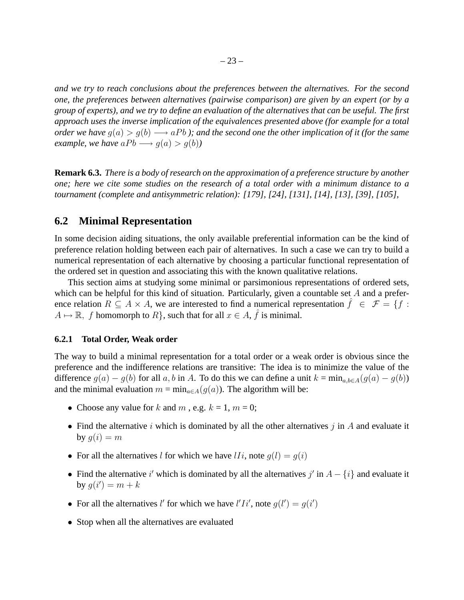*and we try to reach conclusions about the preferences between the alternatives. For the second one, the preferences between alternatives (pairwise comparison) are given by an expert (or by a group of experts), and we try to define an evaluation of the alternatives that can be useful. The first approach uses the inverse implication of the equivalences presented above (for example for a total order we have*  $g(a) > g(b) \longrightarrow aPb$  *); and the second one the other implication of it (for the same example, we have*  $aPb \longrightarrow g(a) > g(b)$ *)* 

**Remark 6.3.** *There is a body of research on the approximation of a preference structure by another one; here we cite some studies on the research of a total order with a minimum distance to a tournament (complete and antisymmetric relation): [179], [24], [131], [14], [13], [39], [105],*

### **6.2 Minimal Representation**

In some decision aiding situations, the only available preferential information can be the kind of preference relation holding between each pair of alternatives. In such a case we can try to build a numerical representation of each alternative by choosing a particular functional representation of the ordered set in question and associating this with the known qualitative relations.

This section aims at studying some minimal or parsimonious representations of ordered sets, which can be helpful for this kind of situation. Particularly, given a countable set  $A$  and a preference relation  $R \subseteq A \times A$ , we are interested to find a numerical representation  $\hat{f} \in \mathcal{F} = \{f :$  $A \mapsto \mathbb{R}$ , f homomorph to  $R$ , such that for all  $x \in A$ ,  $\hat{f}$  is minimal.

#### **6.2.1 Total Order, Weak order**

The way to build a minimal representation for a total order or a weak order is obvious since the preference and the indifference relations are transitive: The idea is to minimize the value of the difference  $g(a) - g(b)$  for all a, b in A. To do this we can define a unit  $k = min_{a,b \in A}(g(a) - g(b))$ and the minimal evaluation  $m = min_{a \in A}(g(a))$ . The algorithm will be:

- Choose any value for k and m, e.g.  $k = 1$ ,  $m = 0$ ;
- Find the alternative i which is dominated by all the other alternatives  $j$  in  $A$  and evaluate it by  $g(i) = m$
- For all the alternatives l for which we have  $li$ , note  $g(l) = g(i)$
- Find the alternative i' which is dominated by all the alternatives j' in  $A \{i\}$  and evaluate it by  $g(i') = m + k$
- For all the alternatives l' for which we have l'Ii', note  $g(l') = g(i')$
- Stop when all the alternatives are evaluated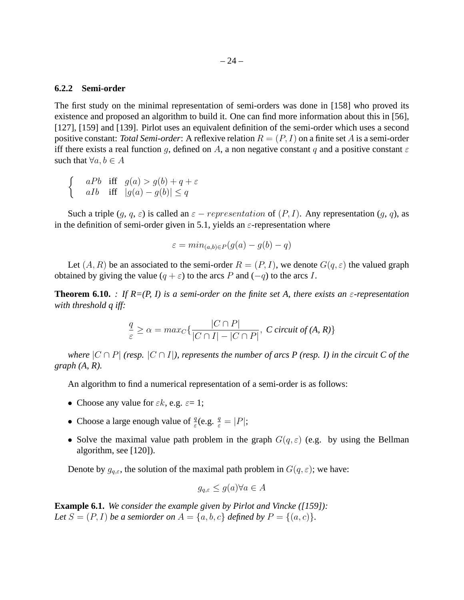#### **6.2.2 Semi-order**

The first study on the minimal representation of semi-orders was done in [158] who proved its existence and proposed an algorithm to build it. One can find more information about this in [56], [127], [159] and [139]. Pirlot uses an equivalent definition of the semi-order which uses a second positive constant: *Total Semi-order*: A reflexive relation  $R = (P, I)$  on a finite set A is a semi-order iff there exists a real function g, defined on A, a non negative constant q and a positive constant  $\varepsilon$ such that  $\forall a, b \in A$ 

$$
\begin{cases}\n aPb & \text{iff } g(a) > g(b) + q + \varepsilon \\
 aIb & \text{iff } |g(a) - g(b)| \le q\n\end{cases}
$$

Such a triple  $(g, q, \varepsilon)$  is called an  $\varepsilon$  – representation of  $(P, I)$ . Any representation  $(q, q)$ , as in the definition of semi-order given in 5.1, yields an  $\varepsilon$ -representation where

$$
\varepsilon = \min_{(a,b)\in P}(g(a) - g(b) - q)
$$

Let  $(A, R)$  be an associated to the semi-order  $R = (P, I)$ , we denote  $G(q, \varepsilon)$  the valued graph obtained by giving the value  $(q + \varepsilon)$  to the arcs P and  $(-q)$  to the arcs I.

**Theorem 6.10.** *: If R=(P, I) is a semi-order on the finite set A, there exists an*  $\varepsilon$ *-representation with threshold q iff:*

$$
\frac{q}{\varepsilon} \ge \alpha = \max_C \{ \frac{|C \cap P|}{|C \cap I| - |C \cap P|}, \ C \text{ circuit of (A, R)} \}
$$

*where* |C ∩ P| *(resp.* |C ∩ I|*), represents the number of arcs P (resp. I) in the circuit C of the graph (A, R).*

An algorithm to find a numerical representation of a semi-order is as follows:

- Choose any value for  $\epsilon k$ , e.g.  $\epsilon = 1$ ;
- Choose a large enough value of  $\frac{q}{\varepsilon}$  (e.g.  $\frac{q}{\varepsilon} = |P|$ ;
- Solve the maximal value path problem in the graph  $G(q, \varepsilon)$  (e.g. by using the Bellman algorithm, see [120]).

Denote by  $g_{q,\varepsilon}$ , the solution of the maximal path problem in  $G(q,\varepsilon)$ ; we have:

$$
g_{q,\varepsilon} \le g(a) \forall a \in A
$$

**Example 6.1.** *We consider the example given by Pirlot and Vincke ([159]): Let*  $S = (P, I)$  *be a semiorder on*  $A = \{a, b, c\}$  *defined by*  $P = \{(a, c)\}.$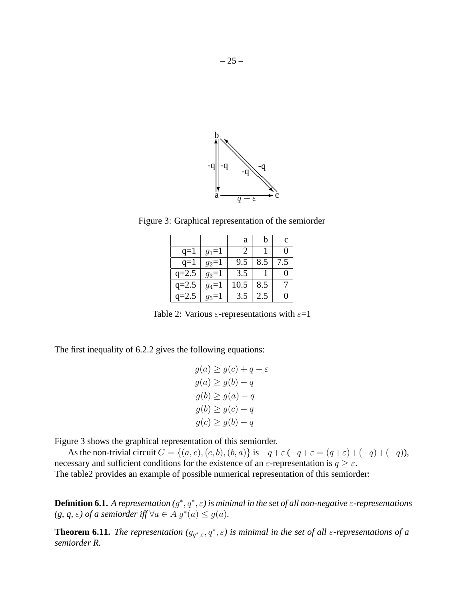

Figure 3: Graphical representation of the semiorder

|         |           | a    | h   | Ċ   |
|---------|-----------|------|-----|-----|
| $q=1$   | $g_1 = 1$ | 2    |     |     |
| $q=1$   | $g_2=1$   | 9.5  | 8.5 | 7.5 |
| $q=2.5$ | $g_3=1$   | 3.5  |     |     |
| $q=2.5$ | $g_4 = 1$ | 10.5 | 8.5 |     |
| $q=2.5$ | $g_5 = 1$ | 3.5  | 2.5 |     |

Table 2: Various  $\varepsilon$ -representations with  $\varepsilon$ =1

The first inequality of 6.2.2 gives the following equations:

$$
g(a) \ge g(c) + q + \varepsilon
$$
  
\n
$$
g(a) \ge g(b) - q
$$
  
\n
$$
g(b) \ge g(a) - q
$$
  
\n
$$
g(b) \ge g(c) - q
$$
  
\n
$$
g(c) \ge g(b) - q
$$

Figure 3 shows the graphical representation of this semiorder.

As the non-trivial circuit  $C = \{(a, c), (c, b), (b, a)\}\$ is  $-q+\varepsilon$  ( $-q+\varepsilon = (q+\varepsilon) + (-q) + (-q)$ ), necessary and sufficient conditions for the existence of an  $\varepsilon$ -representation is  $q \geq \varepsilon$ . The table2 provides an example of possible numerical representation of this semiorder:

**Definition 6.1.** A representation  $(g^*, q^*, \varepsilon)$  is minimal in the set of all non-negative  $\varepsilon$ -representations  $(g, q, \varepsilon)$  of a semiorder iff  $\forall a \in A$   $g^*(a) \leq g(a)$ .

**Theorem 6.11.** *The representation*  $(g_{q^*,\varepsilon}, q^*, \varepsilon)$  *is minimal in the set of all*  $\varepsilon$ -representations of a *semiorder R.*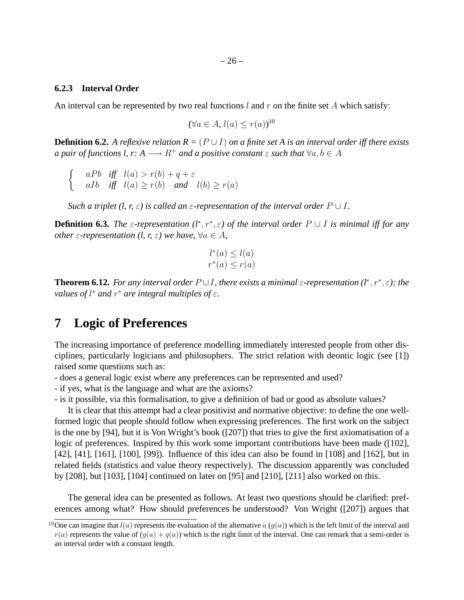#### **6.2.3 Interval Order**

An interval can be represented by two real functions  $l$  and  $r$  on the finite set  $A$  which satisfy:

$$
(\forall a \in A, l(a) \le r(a))^{10}
$$

**Definition 6.2.** *A reflexive relation*  $R = (P \cup I)$  *on a finite set A is an interval order iff there exists a pair of functions l, r: A*  $\longrightarrow$   $R^+$  *and a positive constant*  $\varepsilon$  *such that*  $\forall a, b \in A$ 

 $\int$  *aPb iff*  $l(a) > r(b) + q + \varepsilon$ aIb if  $l(a) \ge r(b)$  and  $l(b) \ge r(a)$ 

*Such a triplet (l, r,*  $\varepsilon$ *) is called an*  $\varepsilon$ -representation of the interval order  $P \cup I$ .

**Definition 6.3.** *The*  $\varepsilon$ -representation  $(l^*, r^*, \varepsilon)$  of the interval order  $P \cup I$  is minimal iff for any *other*  $\varepsilon$ *-representation* (*l, r,*  $\varepsilon$ *)* we have,  $\forall a \in A$ ,

$$
l^*(a) \le l(a)
$$
  

$$
r^*(a) \le r(a)
$$

**Theorem 6.12.** For any interval order  $P \cup I$ , there exists a minimal  $\varepsilon$ -representation ( $l^*, r^*, \varepsilon$ ); the *values of* l <sup>∗</sup> *and* r <sup>∗</sup> *are integral multiples of* ε*.*

## **7 Logic of Preferences**

The increasing importance of preference modelling immediately interested people from other disciplines, particularly logicians and philosophers. The strict relation with deontic logic (see [1]) raised some questions such as:

- does a general logic exist where any preferences can be represented and used?

- if yes, what is the language and what are the axioms?

- is it possible, via this formalisation, to give a definition of bad or good as absolute values?

It is clear that this attempt had a clear positivist and normative objective: to define the one wellformed logic that people should follow when expressing preferences. The first work on the subject is the one by [94], but it is Von Wright's book ([207]) that tries to give the first axiomatisation of a logic of preferences. Inspired by this work some important contributions have been made ([102], [42], [41], [161], [100], [99]). Influence of this idea can also be found in [108] and [162], but in related fields (statistics and value theory respectively). The discussion apparently was concluded by [208], but [103], [104] continued on later on [95] and [210], [211] also worked on this.

The general idea can be presented as follows. At least two questions should be clarified: preferences among what? How should preferences be understood? Von Wright ([207]) argues that

<sup>&</sup>lt;sup>10</sup>One can imagine that  $l(a)$  represents the evaluation of the alternative  $a(g(a))$  which is the left limit of the interval and  $r(a)$  represents the value of  $(q(a) + q(a))$  which is the right limit of the interval. One can remark that a semi-order is an interval order with a constant length.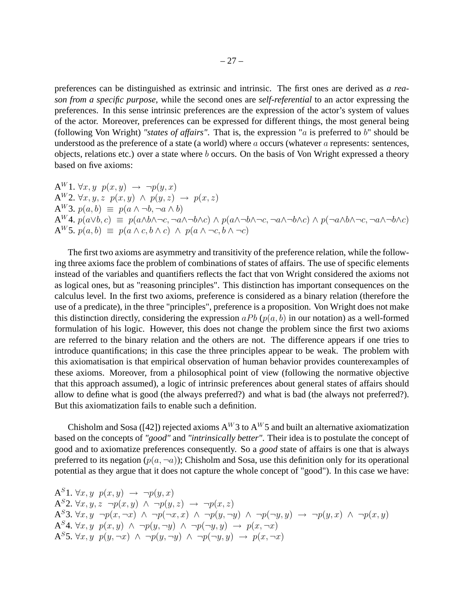preferences can be distinguished as extrinsic and intrinsic. The first ones are derived as *a reason from a specific purpose*, while the second ones are *self-referential* to an actor expressing the preferences. In this sense intrinsic preferences are the expression of the actor's system of values of the actor. Moreover, preferences can be expressed for different things, the most general being (following Von Wright) *"states of affairs"*. That is, the expression "a is preferred to b" should be understood as the preference of a state (a world) where  $a$  occurs (whatever  $a$  represents: sentences, objects, relations etc.) over a state where b occurs. On the basis of Von Wright expressed a theory based on five axioms:

$$
A^{W}1. \forall x, y \ p(x, y) \rightarrow \neg p(y, x)
$$
  
\n
$$
A^{W}2. \forall x, y, z \ p(x, y) \land p(y, z) \rightarrow p(x, z)
$$
  
\n
$$
A^{W}3. p(a, b) \equiv p(a \land \neg b, \neg a \land b)
$$
  
\n
$$
A^{W}4. p(a \lor b, c) \equiv p(a \land b \land \neg c, \neg a \land \neg b \land c) \land p(a \land \neg b \land \neg c, \neg a \land \neg b \land c) \land p(\neg a \land b \land \neg c, \neg a \land \neg b \land c)
$$
  
\n
$$
A^{W}5. p(a, b) \equiv p(a \land c, b \land c) \land p(a \land \neg c, b \land \neg c)
$$

The first two axioms are asymmetry and transitivity of the preference relation, while the following three axioms face the problem of combinations of states of affairs. The use of specific elements instead of the variables and quantifiers reflects the fact that von Wright considered the axioms not as logical ones, but as "reasoning principles". This distinction has important consequences on the calculus level. In the first two axioms, preference is considered as a binary relation (therefore the use of a predicate), in the three "principles", preference is a proposition. Von Wright does not make this distinction directly, considering the expression  $aPb(p(a, b))$  in our notation) as a well-formed formulation of his logic. However, this does not change the problem since the first two axioms are referred to the binary relation and the others are not. The difference appears if one tries to introduce quantifications; in this case the three principles appear to be weak. The problem with this axiomatisation is that empirical observation of human behavior provides counterexamples of these axioms. Moreover, from a philosophical point of view (following the normative objective that this approach assumed), a logic of intrinsic preferences about general states of affairs should allow to define what is good (the always preferred?) and what is bad (the always not preferred?). But this axiomatization fails to enable such a definition.

Chisholm and Sosa ([42]) rejected axioms  $A^{W}3$  to  $A^{W}5$  and built an alternative axiomatization based on the concepts of *"good"* and *"intrinsically better"*. Their idea is to postulate the concept of good and to axiomatize preferences consequently. So a *good* state of affairs is one that is always preferred to its negation  $(p(a, \neg a))$ ; Chisholm and Sosa, use this definition only for its operational potential as they argue that it does not capture the whole concept of "good"). In this case we have:

A<sup>S</sup>1. 
$$
\forall x, y \ p(x, y) \rightarrow \neg p(y, x)
$$
  
\nA<sup>S</sup>2.  $\forall x, y, z \ \neg p(x, y) \land \neg p(y, z) \rightarrow \neg p(x, z)$   
\nA<sup>S</sup>3.  $\forall x, y \ \neg p(x, \neg x) \land \neg p(\neg x, x) \land \neg p(y, \neg y) \land \neg p(\neg y, y) \rightarrow \neg p(y, x) \land \neg p(x, y)$   
\nA<sup>S</sup>4.  $\forall x, y \ p(x, y) \land \neg p(y, \neg y) \land \neg p(\neg y, y) \rightarrow p(x, \neg x)$   
\nA<sup>S</sup>5.  $\forall x, y \ p(y, \neg x) \land \neg p(y, \neg y) \land \neg p(\neg y, y) \rightarrow p(x, \neg x)$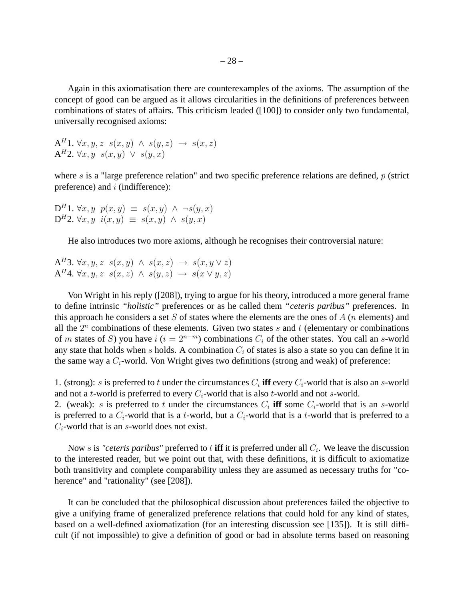Again in this axiomatisation there are counterexamples of the axioms. The assumption of the concept of good can be argued as it allows circularities in the definitions of preferences between combinations of states of affairs. This criticism leaded ([100]) to consider only two fundamental, universally recognised axioms:

$$
AH1. \forall x, y, z \ s(x, y) \land s(y, z) \rightarrow s(x, z)
$$
  

$$
AH2. \forall x, y \ s(x, y) \lor s(y, x)
$$

where s is a "large preference relation" and two specific preference relations are defined,  $p$  (strict preference) and  $i$  (indifference):

 $D<sup>H</sup>1. \forall x, y \ p(x, y) \equiv s(x, y) \land \neg s(y, x)$  $D^H2. \ \forall x, y \ i(x, y) \equiv s(x, y) \ \wedge \ s(y, x)$ 

He also introduces two more axioms, although he recognises their controversial nature:

 $A^H$ 3.  $\forall x, y, z \ s(x, y) \land s(x, z) \rightarrow s(x, y \lor z)$  $A^H 4. \ \forall x, y, z \ s(x, z) \ \land \ s(y, z) \ \rightarrow \ s(x \lor y, z)$ 

Von Wright in his reply ([208]), trying to argue for his theory, introduced a more general frame to define intrinsic *"holistic"* preferences or as he called them *"ceteris paribus"* preferences. In this approach he considers a set S of states where the elements are the ones of A ( $n$  elements) and all the  $2^n$  combinations of these elements. Given two states s and t (elementary or combinations of m states of S) you have  $i$  ( $i = 2^{n-m}$ ) combinations  $C_i$  of the other states. You call an s-world any state that holds when s holds. A combination  $C_i$  of states is also a state so you can define it in the same way a  $C_i$ -world. Von Wright gives two definitions (strong and weak) of preference:

1. (strong): s is preferred to t under the circumstances  $C_i$  **iff** every  $C_i$ -world that is also an s-world and not a t-world is preferred to every  $C_i$ -world that is also t-world and not s-world.

2. (weak): s is preferred to t under the circumstances  $C_i$  **iff** some  $C_i$ -world that is an s-world is preferred to a  $C_i$ -world that is a t-world, but a  $C_i$ -world that is a t-world that is preferred to a  $C_i$ -world that is an s-world does not exist.

Now  $s$  is *"ceteris paribus"* preferred to  $t$  **iff** it is preferred under all  $C_i$ . We leave the discussion to the interested reader, but we point out that, with these definitions, it is difficult to axiomatize both transitivity and complete comparability unless they are assumed as necessary truths for "coherence" and "rationality" (see [208]).

It can be concluded that the philosophical discussion about preferences failed the objective to give a unifying frame of generalized preference relations that could hold for any kind of states, based on a well-defined axiomatization (for an interesting discussion see [135]). It is still difficult (if not impossible) to give a definition of good or bad in absolute terms based on reasoning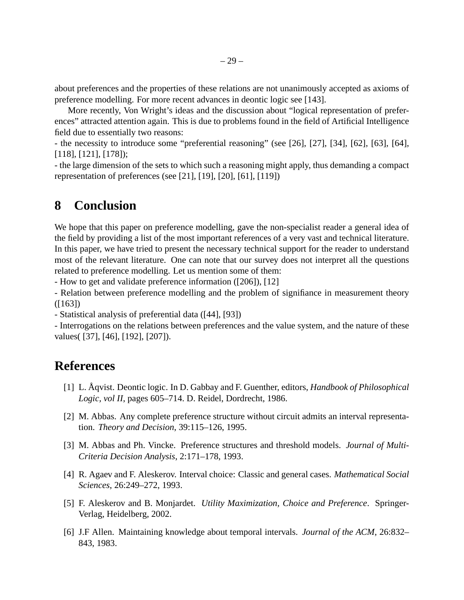about preferences and the properties of these relations are not unanimously accepted as axioms of preference modelling. For more recent advances in deontic logic see [143].

More recently, Von Wright's ideas and the discussion about "logical representation of preferences" attracted attention again. This is due to problems found in the field of Artificial Intelligence field due to essentially two reasons:

- the necessity to introduce some "preferential reasoning" (see [26], [27], [34], [62], [63], [64], [118], [121], [178]);

- the large dimension of the sets to which such a reasoning might apply, thus demanding a compact representation of preferences (see [21], [19], [20], [61], [119])

## **8 Conclusion**

We hope that this paper on preference modelling, gave the non-specialist reader a general idea of the field by providing a list of the most important references of a very vast and technical literature. In this paper, we have tried to present the necessary technical support for the reader to understand most of the relevant literature. One can note that our survey does not interpret all the questions related to preference modelling. Let us mention some of them:

- How to get and validate preference information ([206]), [12]

- Relation between preference modelling and the problem of signifiance in measurement theory  $([163])$ 

- Statistical analysis of preferential data ([44], [93])

- Interrogations on the relations between preferences and the value system, and the nature of these values( [37], [46], [192], [207]).

## **References**

- [1] L. Åqvist. Deontic logic. In D. Gabbay and F. Guenther, editors, *Handbook of Philosophical Logic, vol II*, pages 605–714. D. Reidel, Dordrecht, 1986.
- [2] M. Abbas. Any complete preference structure without circuit admits an interval representation. *Theory and Decision*, 39:115–126, 1995.
- [3] M. Abbas and Ph. Vincke. Preference structures and threshold models. *Journal of Multi-Criteria Decision Analysis*, 2:171–178, 1993.
- [4] R. Agaev and F. Aleskerov. Interval choice: Classic and general cases. *Mathematical Social Sciences*, 26:249–272, 1993.
- [5] F. Aleskerov and B. Monjardet. *Utility Maximization, Choice and Preference*. Springer-Verlag, Heidelberg, 2002.
- [6] J.F Allen. Maintaining knowledge about temporal intervals. *Journal of the ACM*, 26:832– 843, 1983.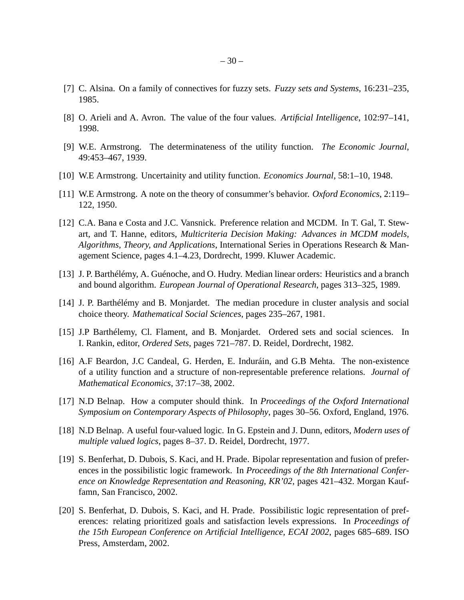- [7] C. Alsina. On a family of connectives for fuzzy sets. *Fuzzy sets and Systems*, 16:231–235, 1985.
- [8] O. Arieli and A. Avron. The value of the four values. *Artificial Intelligence*, 102:97–141, 1998.
- [9] W.E. Armstrong. The determinateness of the utility function. *The Economic Journal*, 49:453–467, 1939.
- [10] W.E Armstrong. Uncertainity and utility function. *Economics Journal*, 58:1–10, 1948.
- [11] W.E Armstrong. A note on the theory of consummer's behavior. *Oxford Economics*, 2:119– 122, 1950.
- [12] C.A. Bana e Costa and J.C. Vansnick. Preference relation and MCDM. In T. Gal, T. Stewart, and T. Hanne, editors, *Multicriteria Decision Making: Advances in MCDM models, Algorithms, Theory, and Applications*, International Series in Operations Research & Management Science, pages 4.1–4.23, Dordrecht, 1999. Kluwer Academic.
- [13] J. P. Barthélémy, A. Guénoche, and O. Hudry. Median linear orders: Heuristics and a branch and bound algorithm. *European Journal of Operational Research*, pages 313–325, 1989.
- [14] J. P. Barthélémy and B. Monjardet. The median procedure in cluster analysis and social choice theory. *Mathematical Social Sciences*, pages 235–267, 1981.
- [15] J.P Barthélemy, Cl. Flament, and B. Monjardet. Ordered sets and social sciences. In I. Rankin, editor, *Ordered Sets*, pages 721–787. D. Reidel, Dordrecht, 1982.
- [16] A.F Beardon, J.C Candeal, G. Herden, E. Induráin, and G.B Mehta. The non-existence of a utility function and a structure of non-representable preference relations. *Journal of Mathematical Economics*, 37:17–38, 2002.
- [17] N.D Belnap. How a computer should think. In *Proceedings of the Oxford International Symposium on Contemporary Aspects of Philosophy*, pages 30–56. Oxford, England, 1976.
- [18] N.D Belnap. A useful four-valued logic. In G. Epstein and J. Dunn, editors, *Modern uses of multiple valued logics*, pages 8–37. D. Reidel, Dordrecht, 1977.
- [19] S. Benferhat, D. Dubois, S. Kaci, and H. Prade. Bipolar representation and fusion of preferences in the possibilistic logic framework. In *Proceedings of the 8th International Conference on Knowledge Representation and Reasoning, KR'02*, pages 421–432. Morgan Kauffamn, San Francisco, 2002.
- [20] S. Benferhat, D. Dubois, S. Kaci, and H. Prade. Possibilistic logic representation of preferences: relating prioritized goals and satisfaction levels expressions. In *Proceedings of the 15th European Conference on Artificial Intelligence, ECAI 2002*, pages 685–689. ISO Press, Amsterdam, 2002.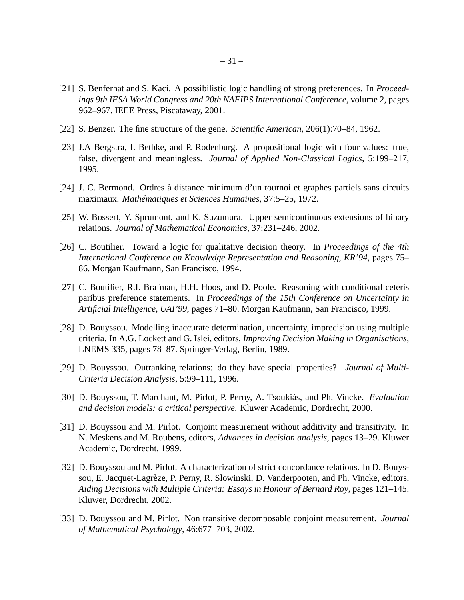- [21] S. Benferhat and S. Kaci. A possibilistic logic handling of strong preferences. In *Proceedings 9th IFSA World Congress and 20th NAFIPS International Conference*, volume 2, pages 962–967. IEEE Press, Piscataway, 2001.
- [22] S. Benzer. The fine structure of the gene. *Scientific American*, 206(1):70–84, 1962.
- [23] J.A Bergstra, I. Bethke, and P. Rodenburg. A propositional logic with four values: true, false, divergent and meaningless. *Journal of Applied Non-Classical Logics*, 5:199–217, 1995.
- [24] J. C. Bermond. Ordres à distance minimum d'un tournoi et graphes partiels sans circuits maximaux. *Mathématiques et Sciences Humaines*, 37:5–25, 1972.
- [25] W. Bossert, Y. Sprumont, and K. Suzumura. Upper semicontinuous extensions of binary relations. *Journal of Mathematical Economics*, 37:231–246, 2002.
- [26] C. Boutilier. Toward a logic for qualitative decision theory. In *Proceedings of the 4th International Conference on Knowledge Representation and Reasoning, KR'94*, pages 75– 86. Morgan Kaufmann, San Francisco, 1994.
- [27] C. Boutilier, R.I. Brafman, H.H. Hoos, and D. Poole. Reasoning with conditional ceteris paribus preference statements. In *Proceedings of the 15th Conference on Uncertainty in Artificial Intelligence, UAI'99*, pages 71–80. Morgan Kaufmann, San Francisco, 1999.
- [28] D. Bouyssou. Modelling inaccurate determination, uncertainty, imprecision using multiple criteria. In A.G. Lockett and G. Islei, editors, *Improving Decision Making in Organisations*, LNEMS 335, pages 78–87. Springer-Verlag, Berlin, 1989.
- [29] D. Bouyssou. Outranking relations: do they have special properties? *Journal of Multi-Criteria Decision Analysis*, 5:99–111, 1996.
- [30] D. Bouyssou, T. Marchant, M. Pirlot, P. Perny, A. Tsoukiàs, and Ph. Vincke. *Evaluation and decision models: a critical perspective*. Kluwer Academic, Dordrecht, 2000.
- [31] D. Bouyssou and M. Pirlot. Conjoint measurement without additivity and transitivity. In N. Meskens and M. Roubens, editors, *Advances in decision analysis*, pages 13–29. Kluwer Academic, Dordrecht, 1999.
- [32] D. Bouyssou and M. Pirlot. A characterization of strict concordance relations. In D. Bouyssou, E. Jacquet-Lagrèze, P. Perny, R. Slowinski, D. Vanderpooten, and Ph. Vincke, editors, *Aiding Decisions with Multiple Criteria: Essays in Honour of Bernard Roy*, pages 121–145. Kluwer, Dordrecht, 2002.
- [33] D. Bouyssou and M. Pirlot. Non transitive decomposable conjoint measurement. *Journal of Mathematical Psychology*, 46:677–703, 2002.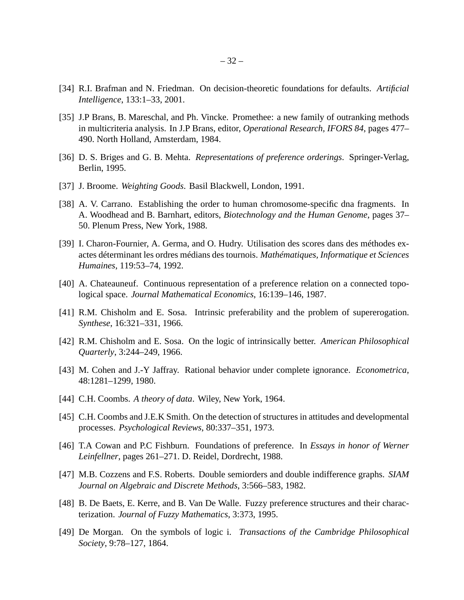- [34] R.I. Brafman and N. Friedman. On decision-theoretic foundations for defaults. *Artificial Intelligence*, 133:1–33, 2001.
- [35] J.P Brans, B. Mareschal, and Ph. Vincke. Promethee: a new family of outranking methods in multicriteria analysis. In J.P Brans, editor, *Operational Research, IFORS 84*, pages 477– 490. North Holland, Amsterdam, 1984.
- [36] D. S. Briges and G. B. Mehta. *Representations of preference orderings*. Springer-Verlag, Berlin, 1995.
- [37] J. Broome. *Weighting Goods*. Basil Blackwell, London, 1991.
- [38] A. V. Carrano. Establishing the order to human chromosome-specific dna fragments. In A. Woodhead and B. Barnhart, editors, *Biotechnology and the Human Genome*, pages 37– 50. Plenum Press, New York, 1988.
- [39] I. Charon-Fournier, A. Germa, and O. Hudry. Utilisation des scores dans des méthodes exactes déterminant les ordres médians des tournois. *Mathématiques, Informatique et Sciences Humaines*, 119:53–74, 1992.
- [40] A. Chateauneuf. Continuous representation of a preference relation on a connected topological space. *Journal Mathematical Economics*, 16:139–146, 1987.
- [41] R.M. Chisholm and E. Sosa. Intrinsic preferability and the problem of supererogation. *Synthese*, 16:321–331, 1966.
- [42] R.M. Chisholm and E. Sosa. On the logic of intrinsically better. *American Philosophical Quarterly*, 3:244–249, 1966.
- [43] M. Cohen and J.-Y Jaffray. Rational behavior under complete ignorance. *Econometrica*, 48:1281–1299, 1980.
- [44] C.H. Coombs. *A theory of data*. Wiley, New York, 1964.
- [45] C.H. Coombs and J.E.K Smith. On the detection of structures in attitudes and developmental processes. *Psychological Reviews*, 80:337–351, 1973.
- [46] T.A Cowan and P.C Fishburn. Foundations of preference. In *Essays in honor of Werner Leinfellner*, pages 261–271. D. Reidel, Dordrecht, 1988.
- [47] M.B. Cozzens and F.S. Roberts. Double semiorders and double indifference graphs. *SIAM Journal on Algebraic and Discrete Methods*, 3:566–583, 1982.
- [48] B. De Baets, E. Kerre, and B. Van De Walle. Fuzzy preference structures and their characterization. *Journal of Fuzzy Mathematics*, 3:373, 1995.
- [49] De Morgan. On the symbols of logic i. *Transactions of the Cambridge Philosophical Society*, 9:78–127, 1864.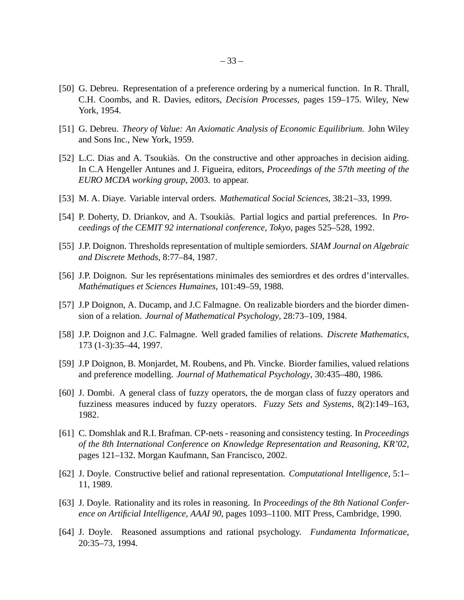- [50] G. Debreu. Representation of a preference ordering by a numerical function. In R. Thrall, C.H. Coombs, and R. Davies, editors, *Decision Processes*, pages 159–175. Wiley, New York, 1954.
- [51] G. Debreu. *Theory of Value: An Axiomatic Analysis of Economic Equilibrium*. John Wiley and Sons Inc., New York, 1959.
- [52] L.C. Dias and A. Tsoukiàs. On the constructive and other approaches in decision aiding. In C.A Hengeller Antunes and J. Figueira, editors, *Proceedings of the 57th meeting of the EURO MCDA working group*, 2003. to appear.
- [53] M. A. Diaye. Variable interval orders. *Mathematical Social Sciences*, 38:21–33, 1999.
- [54] P. Doherty, D. Driankov, and A. Tsoukiàs. Partial logics and partial preferences. In *Proceedings of the CEMIT 92 international conference, Tokyo*, pages 525–528, 1992.
- [55] J.P. Doignon. Thresholds representation of multiple semiorders. *SIAM Journal on Algebraic and Discrete Methods*, 8:77–84, 1987.
- [56] J.P. Doignon. Sur les représentations minimales des semiordres et des ordres d'intervalles. *Mathématiques et Sciences Humaines*, 101:49–59, 1988.
- [57] J.P Doignon, A. Ducamp, and J.C Falmagne. On realizable biorders and the biorder dimension of a relation. *Journal of Mathematical Psychology*, 28:73–109, 1984.
- [58] J.P. Doignon and J.C. Falmagne. Well graded families of relations. *Discrete Mathematics*, 173 (1-3):35–44, 1997.
- [59] J.P Doignon, B. Monjardet, M. Roubens, and Ph. Vincke. Biorder families, valued relations and preference modelling. *Journal of Mathematical Psychology*, 30:435–480, 1986.
- [60] J. Dombi. A general class of fuzzy operators, the de morgan class of fuzzy operators and fuzziness measures induced by fuzzy operators. *Fuzzy Sets and Systems*, 8(2):149–163, 1982.
- [61] C. Domshlak and R.I. Brafman. CP-nets reasoning and consistency testing. In *Proceedings of the 8th International Conference on Knowledge Representation and Reasoning, KR'02*, pages 121–132. Morgan Kaufmann, San Francisco, 2002.
- [62] J. Doyle. Constructive belief and rational representation. *Computational Intelligence*, 5:1– 11, 1989.
- [63] J. Doyle. Rationality and its roles in reasoning. In *Proceedings of the 8th National Conference on Artificial Intelligence, AAAI 90*, pages 1093–1100. MIT Press, Cambridge, 1990.
- [64] J. Doyle. Reasoned assumptions and rational psychology. *Fundamenta Informaticae*, 20:35–73, 1994.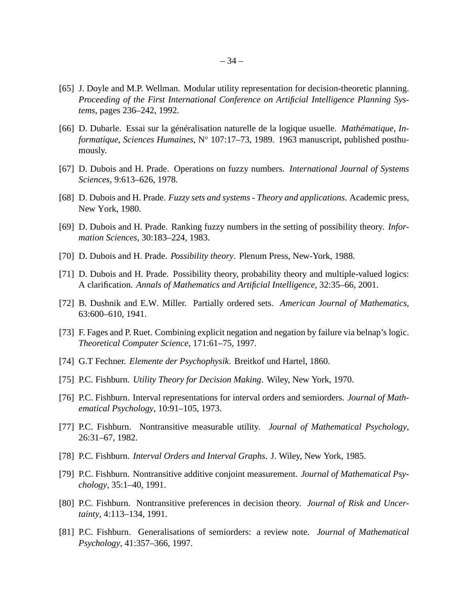- [65] J. Doyle and M.P. Wellman. Modular utility representation for decision-theoretic planning. *Proceeding of the First International Conference on Artificial Intelligence Planning Systems*, pages 236–242, 1992.
- [66] D. Dubarle. Essai sur la généralisation naturelle de la logique usuelle. *Mathématique, Informatique, Sciences Humaines, Nº 107:17-73, 1989. 1963 manuscript, published posthu*mously.
- [67] D. Dubois and H. Prade. Operations on fuzzy numbers. *International Journal of Systems Sciences*, 9:613–626, 1978.
- [68] D. Dubois and H. Prade. *Fuzzy sets and systems Theory and applications*. Academic press, New York, 1980.
- [69] D. Dubois and H. Prade. Ranking fuzzy numbers in the setting of possibility theory. *Information Sciences*, 30:183–224, 1983.
- [70] D. Dubois and H. Prade. *Possibility theory*. Plenum Press, New-York, 1988.
- [71] D. Dubois and H. Prade. Possibility theory, probability theory and multiple-valued logics: A clarification. *Annals of Mathematics and Artificial Intelligence*, 32:35–66, 2001.
- [72] B. Dushnik and E.W. Miller. Partially ordered sets. *American Journal of Mathematics*, 63:600–610, 1941.
- [73] F. Fages and P. Ruet. Combining explicit negation and negation by failure via belnap's logic. *Theoretical Computer Science*, 171:61–75, 1997.
- [74] G.T Fechner. *Elemente der Psychophysik*. Breitkof und Hartel, 1860.
- [75] P.C. Fishburn. *Utility Theory for Decision Making*. Wiley, New York, 1970.
- [76] P.C. Fishburn. Interval representations for interval orders and semiorders. *Journal of Mathematical Psychology*, 10:91–105, 1973.
- [77] P.C. Fishburn. Nontransitive measurable utility. *Journal of Mathematical Psychology*, 26:31–67, 1982.
- [78] P.C. Fishburn. *Interval Orders and Interval Graphs*. J. Wiley, New York, 1985.
- [79] P.C. Fishburn. Nontransitive additive conjoint measurement. *Journal of Mathematical Psychology*, 35:1–40, 1991.
- [80] P.C. Fishburn. Nontransitive preferences in decision theory. *Journal of Risk and Uncertainty*, 4:113–134, 1991.
- [81] P.C. Fishburn. Generalisations of semiorders: a review note. *Journal of Mathematical Psychology*, 41:357–366, 1997.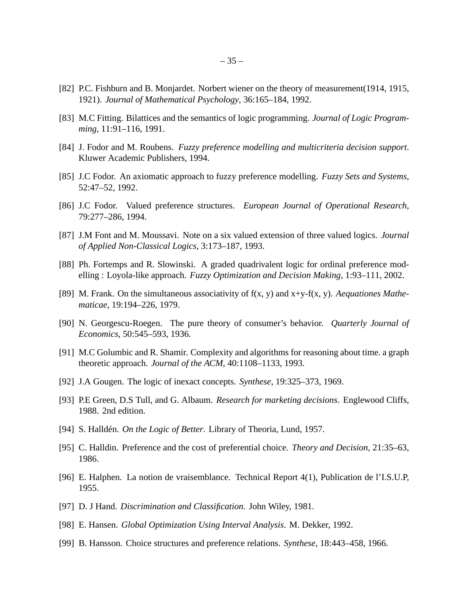- [82] P.C. Fishburn and B. Monjardet. Norbert wiener on the theory of measurement(1914, 1915, 1921). *Journal of Mathematical Psychology*, 36:165–184, 1992.
- [83] M.C Fitting. Bilattices and the semantics of logic programming. *Journal of Logic Programming*, 11:91–116, 1991.
- [84] J. Fodor and M. Roubens. *Fuzzy preference modelling and multicriteria decision support*. Kluwer Academic Publishers, 1994.
- [85] J.C Fodor. An axiomatic approach to fuzzy preference modelling. *Fuzzy Sets and Systems*, 52:47–52, 1992.
- [86] J.C Fodor. Valued preference structures. *European Journal of Operational Research*, 79:277–286, 1994.
- [87] J.M Font and M. Moussavi. Note on a six valued extension of three valued logics. *Journal of Applied Non-Classical Logics*, 3:173–187, 1993.
- [88] Ph. Fortemps and R. Slowinski. A graded quadrivalent logic for ordinal preference modelling : Loyola-like approach. *Fuzzy Optimization and Decision Making*, 1:93–111, 2002.
- [89] M. Frank. On the simultaneous associativity of f(x, y) and x+y-f(x, y). *Aequationes Mathematicae*, 19:194–226, 1979.
- [90] N. Georgescu-Roegen. The pure theory of consumer's behavior. *Quarterly Journal of Economics*, 50:545–593, 1936.
- [91] M.C Golumbic and R. Shamir. Complexity and algorithms for reasoning about time. a graph theoretic approach. *Journal of the ACM*, 40:1108–1133, 1993.
- [92] J.A Gougen. The logic of inexact concepts. *Synthese*, 19:325–373, 1969.
- [93] P.E Green, D.S Tull, and G. Albaum. *Research for marketing decisions*. Englewood Cliffs, 1988. 2nd edition.
- [94] S. Halldén. *On the Logic of Better*. Library of Theoria, Lund, 1957.
- [95] C. Halldin. Preference and the cost of preferential choice. *Theory and Decision*, 21:35–63, 1986.
- [96] E. Halphen. La notion de vraisemblance. Technical Report 4(1), Publication de l'I.S.U.P, 1955.
- [97] D. J Hand. *Discrimination and Classification*. John Wiley, 1981.
- [98] E. Hansen. *Global Optimization Using Interval Analysis*. M. Dekker, 1992.
- [99] B. Hansson. Choice structures and preference relations. *Synthese*, 18:443–458, 1966.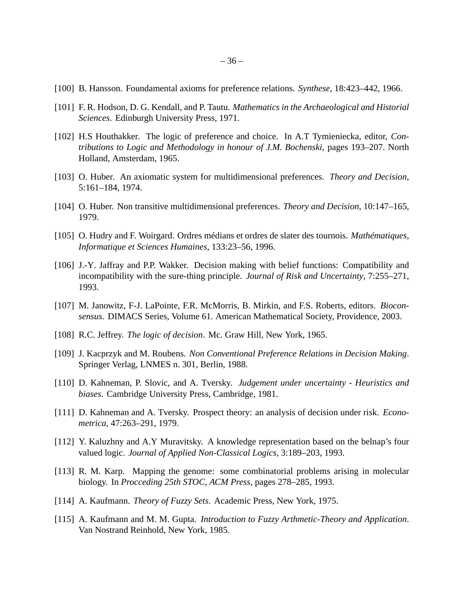- [100] B. Hansson. Foundamental axioms for preference relations. *Synthese*, 18:423–442, 1966.
- [101] F. R. Hodson, D. G. Kendall, and P. Tautu. *Mathematics in the Archaeological and Historial Sciences*. Edinburgh University Press, 1971.
- [102] H.S Houthakker. The logic of preference and choice. In A.T Tymieniecka, editor, *Contributions to Logic and Methodology in honour of J.M. Bochenski*, pages 193–207. North Holland, Amsterdam, 1965.
- [103] O. Huber. An axiomatic system for multidimensional preferences. *Theory and Decision*, 5:161–184, 1974.
- [104] O. Huber. Non transitive multidimensional preferences. *Theory and Decision*, 10:147–165, 1979.
- [105] O. Hudry and F. Woirgard. Ordres médians et ordres de slater des tournois. *Mathématiques, Informatique et Sciences Humaines*, 133:23–56, 1996.
- [106] J.-Y. Jaffray and P.P. Wakker. Decision making with belief functions: Compatibility and incompatibility with the sure-thing principle. *Journal of Risk and Uncertainty*, 7:255–271, 1993.
- [107] M. Janowitz, F-J. LaPointe, F.R. McMorris, B. Mirkin, and F.S. Roberts, editors. *Bioconsensus*. DIMACS Series, Volume 61. American Mathematical Society, Providence, 2003.
- [108] R.C. Jeffrey. *The logic of decision*. Mc. Graw Hill, New York, 1965.
- [109] J. Kacprzyk and M. Roubens. *Non Conventional Preference Relations in Decision Making*. Springer Verlag, LNMES n. 301, Berlin, 1988.
- [110] D. Kahneman, P. Slovic, and A. Tversky. *Judgement under uncertainty Heuristics and biases*. Cambridge University Press, Cambridge, 1981.
- [111] D. Kahneman and A. Tversky. Prospect theory: an analysis of decision under risk. *Econometrica*, 47:263–291, 1979.
- [112] Y. Kaluzhny and A.Y Muravitsky. A knowledge representation based on the belnap's four valued logic. *Journal of Applied Non-Classical Logics*, 3:189–203, 1993.
- [113] R. M. Karp. Mapping the genome: some combinatorial problems arising in molecular biology. In *Procceding 25th STOC, ACM Press*, pages 278–285, 1993.
- [114] A. Kaufmann. *Theory of Fuzzy Sets*. Academic Press, New York, 1975.
- [115] A. Kaufmann and M. M. Gupta. *Introduction to Fuzzy Arthmetic-Theory and Application*. Van Nostrand Reinhold, New York, 1985.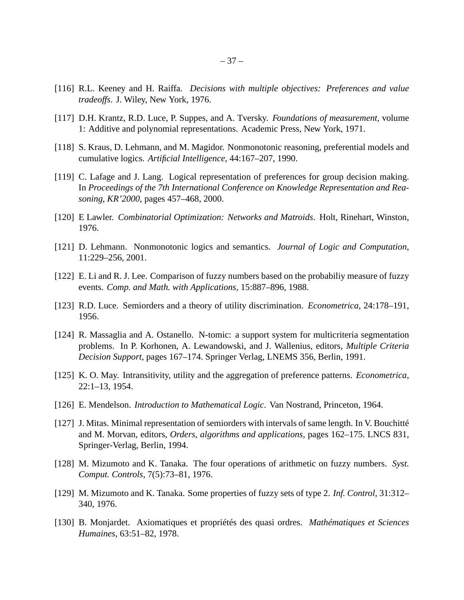- [116] R.L. Keeney and H. Raiffa. *Decisions with multiple objectives: Preferences and value tradeoffs*. J. Wiley, New York, 1976.
- [117] D.H. Krantz, R.D. Luce, P. Suppes, and A. Tversky. *Foundations of measurement*, volume 1: Additive and polynomial representations. Academic Press, New York, 1971.
- [118] S. Kraus, D. Lehmann, and M. Magidor. Nonmonotonic reasoning, preferential models and cumulative logics. *Artificial Intelligence*, 44:167–207, 1990.
- [119] C. Lafage and J. Lang. Logical representation of preferences for group decision making. In *Proceedings of the 7th International Conference on Knowledge Representation and Reasoning, KR'2000*, pages 457–468, 2000.
- [120] E Lawler. *Combinatorial Optimization: Networks and Matroids*. Holt, Rinehart, Winston, 1976.
- [121] D. Lehmann. Nonmonotonic logics and semantics. *Journal of Logic and Computation*, 11:229–256, 2001.
- [122] E. Li and R. J. Lee. Comparison of fuzzy numbers based on the probabiliy measure of fuzzy events. *Comp. and Math. with Applications*, 15:887–896, 1988.
- [123] R.D. Luce. Semiorders and a theory of utility discrimination. *Econometrica*, 24:178–191, 1956.
- [124] R. Massaglia and A. Ostanello. N-tomic: a support system for multicriteria segmentation problems. In P. Korhonen, A. Lewandowski, and J. Wallenius, editors, *Multiple Criteria Decision Support*, pages 167–174. Springer Verlag, LNEMS 356, Berlin, 1991.
- [125] K. O. May. Intransitivity, utility and the aggregation of preference patterns. *Econometrica*, 22:1–13, 1954.
- [126] E. Mendelson. *Introduction to Mathematical Logic*. Van Nostrand, Princeton, 1964.
- [127] J. Mitas. Minimal representation of semiorders with intervals of same length. In V. Bouchitté and M. Morvan, editors, *Orders, algorithms and applications*, pages 162–175. LNCS 831, Springer-Verlag, Berlin, 1994.
- [128] M. Mizumoto and K. Tanaka. The four operations of arithmetic on fuzzy numbers. *Syst. Comput. Controls*, 7(5):73–81, 1976.
- [129] M. Mizumoto and K. Tanaka. Some properties of fuzzy sets of type 2. *Inf. Control*, 31:312– 340, 1976.
- [130] B. Monjardet. Axiomatiques et propriétés des quasi ordres. *Mathématiques et Sciences Humaines*, 63:51–82, 1978.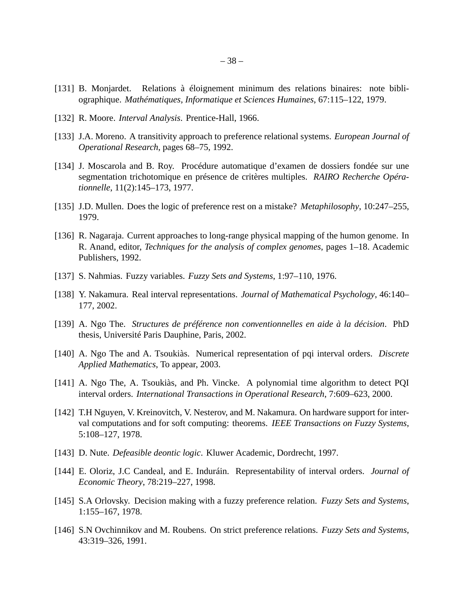- [131] B. Monjardet. Relations à éloignement minimum des relations binaires: note bibliographique. *Mathématiques, Informatique et Sciences Humaines*, 67:115–122, 1979.
- [132] R. Moore. *Interval Analysis*. Prentice-Hall, 1966.
- [133] J.A. Moreno. A transitivity approach to preference relational systems. *European Journal of Operational Research*, pages 68–75, 1992.
- [134] J. Moscarola and B. Roy. Procédure automatique d'examen de dossiers fondée sur une segmentation trichotomique en présence de critères multiples. *RAIRO Recherche Opérationnelle*, 11(2):145–173, 1977.
- [135] J.D. Mullen. Does the logic of preference rest on a mistake? *Metaphilosophy*, 10:247–255, 1979.
- [136] R. Nagaraja. Current approaches to long-range physical mapping of the humon genome. In R. Anand, editor, *Techniques for the analysis of complex genomes*, pages 1–18. Academic Publishers, 1992.
- [137] S. Nahmias. Fuzzy variables. *Fuzzy Sets and Systems*, 1:97–110, 1976.
- [138] Y. Nakamura. Real interval representations. *Journal of Mathematical Psychology*, 46:140– 177, 2002.
- [139] A. Ngo The. *Structures de préférence non conventionnelles en aide à la décision*. PhD thesis, Université Paris Dauphine, Paris, 2002.
- [140] A. Ngo The and A. Tsoukiàs. Numerical representation of pqi interval orders. *Discrete Applied Mathematics*, To appear, 2003.
- [141] A. Ngo The, A. Tsoukiàs, and Ph. Vincke. A polynomial time algorithm to detect PQI interval orders. *International Transactions in Operational Research*, 7:609–623, 2000.
- [142] T.H Nguyen, V. Kreinovitch, V. Nesterov, and M. Nakamura. On hardware support for interval computations and for soft computing: theorems. *IEEE Transactions on Fuzzy Systems*, 5:108–127, 1978.
- [143] D. Nute. *Defeasible deontic logic*. Kluwer Academic, Dordrecht, 1997.
- [144] E. Oloriz, J.C Candeal, and E. Induráin. Representability of interval orders. *Journal of Economic Theory*, 78:219–227, 1998.
- [145] S.A Orlovsky. Decision making with a fuzzy preference relation. *Fuzzy Sets and Systems*, 1:155–167, 1978.
- [146] S.N Ovchinnikov and M. Roubens. On strict preference relations. *Fuzzy Sets and Systems*, 43:319–326, 1991.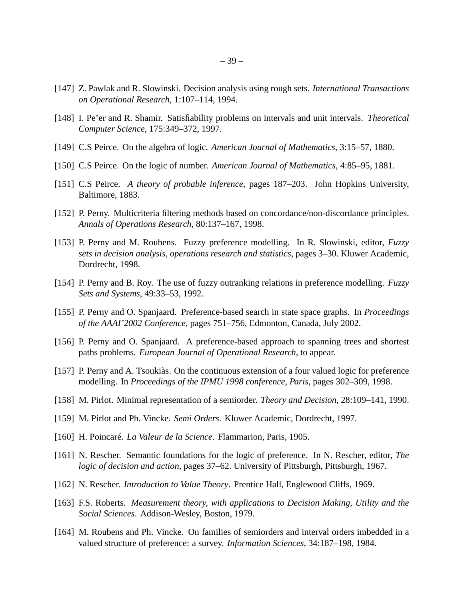- [147] Z. Pawlak and R. Slowinski. Decision analysis using rough sets. *International Transactions on Operational Research*, 1:107–114, 1994.
- [148] I. Pe'er and R. Shamir. Satisfiability problems on intervals and unit intervals. *Theoretical Computer Science*, 175:349–372, 1997.
- [149] C.S Peirce. On the algebra of logic. *American Journal of Mathematics*, 3:15–57, 1880.
- [150] C.S Peirce. On the logic of number. *American Journal of Mathematics*, 4:85–95, 1881.
- [151] C.S Peirce. *A theory of probable inference*, pages 187–203. John Hopkins University, Baltimore, 1883.
- [152] P. Perny. Multicriteria filtering methods based on concordance/non-discordance principles. *Annals of Operations Research*, 80:137–167, 1998.
- [153] P. Perny and M. Roubens. Fuzzy preference modelling. In R. Slowinski, editor, *Fuzzy sets in decision analysis, operations research and statistics*, pages 3–30. Kluwer Academic, Dordrecht, 1998.
- [154] P. Perny and B. Roy. The use of fuzzy outranking relations in preference modelling. *Fuzzy Sets and Systems*, 49:33–53, 1992.
- [155] P. Perny and O. Spanjaard. Preference-based search in state space graphs. In *Proceedings of the AAAI'2002 Conference*, pages 751–756, Edmonton, Canada, July 2002.
- [156] P. Perny and O. Spanjaard. A preference-based approach to spanning trees and shortest paths problems. *European Journal of Operational Research*, to appear.
- [157] P. Perny and A. Tsoukiàs. On the continuous extension of a four valued logic for preference modelling. In *Proceedings of the IPMU 1998 conference, Paris*, pages 302–309, 1998.
- [158] M. Pirlot. Minimal representation of a semiorder. *Theory and Decision*, 28:109–141, 1990.
- [159] M. Pirlot and Ph. Vincke. *Semi Orders*. Kluwer Academic, Dordrecht, 1997.
- [160] H. Poincaré. *La Valeur de la Science*. Flammarion, Paris, 1905.
- [161] N. Rescher. Semantic foundations for the logic of preference. In N. Rescher, editor, *The logic of decision and action*, pages 37–62. University of Pittsburgh, Pittsburgh, 1967.
- [162] N. Rescher. *Introduction to Value Theory*. Prentice Hall, Englewood Cliffs, 1969.
- [163] F.S. Roberts. *Measurement theory, with applications to Decision Making, Utility and the Social Sciences*. Addison-Wesley, Boston, 1979.
- [164] M. Roubens and Ph. Vincke. On families of semiorders and interval orders imbedded in a valued structure of preference: a survey. *Information Sciences*, 34:187–198, 1984.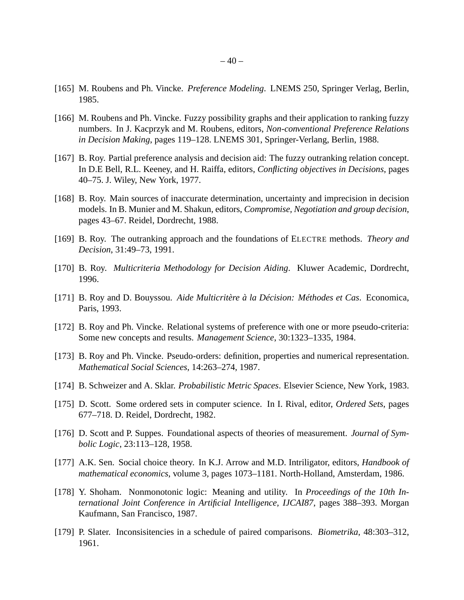- [165] M. Roubens and Ph. Vincke. *Preference Modeling*. LNEMS 250, Springer Verlag, Berlin, 1985.
- [166] M. Roubens and Ph. Vincke. Fuzzy possibility graphs and their application to ranking fuzzy numbers. In J. Kacprzyk and M. Roubens, editors, *Non-conventional Preference Relations in Decision Making*, pages 119–128. LNEMS 301, Springer-Verlang, Berlin, 1988.
- [167] B. Roy. Partial preference analysis and decision aid: The fuzzy outranking relation concept. In D.E Bell, R.L. Keeney, and H. Raiffa, editors, *Conflicting objectives in Decisions*, pages 40–75. J. Wiley, New York, 1977.
- [168] B. Roy. Main sources of inaccurate determination, uncertainty and imprecision in decision models. In B. Munier and M. Shakun, editors, *Compromise, Negotiation and group decision*, pages 43–67. Reidel, Dordrecht, 1988.
- [169] B. Roy. The outranking approach and the foundations of ELECTRE methods. *Theory and Decision*, 31:49–73, 1991.
- [170] B. Roy. *Multicriteria Methodology for Decision Aiding*. Kluwer Academic, Dordrecht, 1996.
- [171] B. Roy and D. Bouyssou. *Aide Multicritère à la Décision: Méthodes et Cas*. Economica, Paris, 1993.
- [172] B. Roy and Ph. Vincke. Relational systems of preference with one or more pseudo-criteria: Some new concepts and results. *Management Science*, 30:1323–1335, 1984.
- [173] B. Roy and Ph. Vincke. Pseudo-orders: definition, properties and numerical representation. *Mathematical Social Sciences*, 14:263–274, 1987.
- [174] B. Schweizer and A. Sklar. *Probabilistic Metric Spaces*. Elsevier Science, New York, 1983.
- [175] D. Scott. Some ordered sets in computer science. In I. Rival, editor, *Ordered Sets*, pages 677–718. D. Reidel, Dordrecht, 1982.
- [176] D. Scott and P. Suppes. Foundational aspects of theories of measurement. *Journal of Symbolic Logic*, 23:113–128, 1958.
- [177] A.K. Sen. Social choice theory. In K.J. Arrow and M.D. Intriligator, editors, *Handbook of mathematical economics*, volume 3, pages 1073–1181. North-Holland, Amsterdam, 1986.
- [178] Y. Shoham. Nonmonotonic logic: Meaning and utility. In *Proceedings of the 10th International Joint Conference in Artificial Intelligence, IJCAI87*, pages 388–393. Morgan Kaufmann, San Francisco, 1987.
- [179] P. Slater. Inconsisitencies in a schedule of paired comparisons. *Biometrika*, 48:303–312, 1961.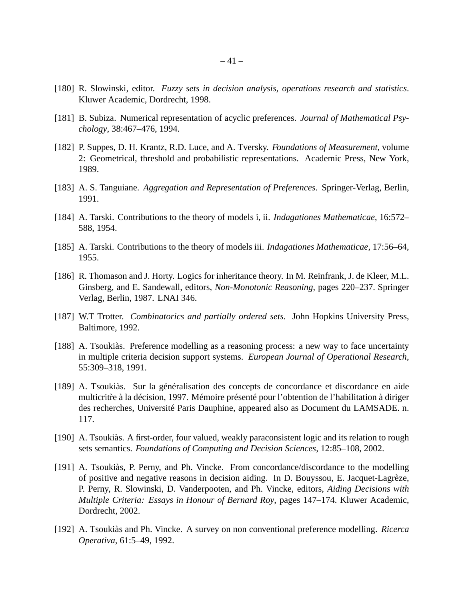- [180] R. Slowinski, editor. *Fuzzy sets in decision analysis, operations research and statistics*. Kluwer Academic, Dordrecht, 1998.
- [181] B. Subiza. Numerical representation of acyclic preferences. *Journal of Mathematical Psychology*, 38:467–476, 1994.
- [182] P. Suppes, D. H. Krantz, R.D. Luce, and A. Tversky. *Foundations of Measurement*, volume 2: Geometrical, threshold and probabilistic representations. Academic Press, New York, 1989.
- [183] A. S. Tanguiane. *Aggregation and Representation of Preferences*. Springer-Verlag, Berlin, 1991.
- [184] A. Tarski. Contributions to the theory of models i, ii. *Indagationes Mathematicae*, 16:572– 588, 1954.
- [185] A. Tarski. Contributions to the theory of models iii. *Indagationes Mathematicae*, 17:56–64, 1955.
- [186] R. Thomason and J. Horty. Logics for inheritance theory. In M. Reinfrank, J. de Kleer, M.L. Ginsberg, and E. Sandewall, editors, *Non-Monotonic Reasoning*, pages 220–237. Springer Verlag, Berlin, 1987. LNAI 346.
- [187] W.T Trotter. *Combinatorics and partially ordered sets*. John Hopkins University Press, Baltimore, 1992.
- [188] A. Tsoukiàs. Preference modelling as a reasoning process: a new way to face uncertainty in multiple criteria decision support systems. *European Journal of Operational Research*, 55:309–318, 1991.
- [189] A. Tsoukiàs. Sur la généralisation des concepts de concordance et discordance en aide multicritre à la décision, 1997. Mémoire présenté pour l'obtention de l'habilitation à diriger des recherches, Université Paris Dauphine, appeared also as Document du LAMSADE. n. 117.
- [190] A. Tsoukiàs. A first-order, four valued, weakly paraconsistent logic and its relation to rough sets semantics. *Foundations of Computing and Decision Sciences*, 12:85–108, 2002.
- [191] A. Tsoukiàs, P. Perny, and Ph. Vincke. From concordance/discordance to the modelling of positive and negative reasons in decision aiding. In D. Bouyssou, E. Jacquet-Lagrèze, P. Perny, R. Slowinski, D. Vanderpooten, and Ph. Vincke, editors, *Aiding Decisions with Multiple Criteria: Essays in Honour of Bernard Roy*, pages 147–174. Kluwer Academic, Dordrecht, 2002.
- [192] A. Tsoukiàs and Ph. Vincke. A survey on non conventional preference modelling. *Ricerca Operativa*, 61:5–49, 1992.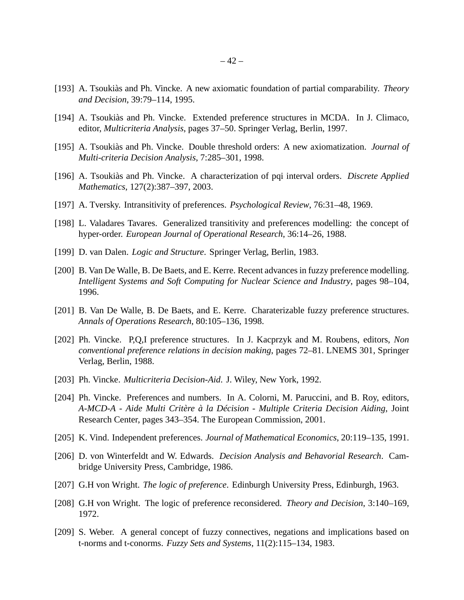- [193] A. Tsoukiàs and Ph. Vincke. A new axiomatic foundation of partial comparability. *Theory and Decision*, 39:79–114, 1995.
- [194] A. Tsoukiàs and Ph. Vincke. Extended preference structures in MCDA. In J. Climaco, editor, *Multicriteria Analysis*, pages 37–50. Springer Verlag, Berlin, 1997.
- [195] A. Tsoukiàs and Ph. Vincke. Double threshold orders: A new axiomatization. *Journal of Multi-criteria Decision Analysis*, 7:285–301, 1998.
- [196] A. Tsoukiàs and Ph. Vincke. A characterization of pqi interval orders. *Discrete Applied Mathematics*, 127(2):387–397, 2003.
- [197] A. Tversky. Intransitivity of preferences. *Psychological Review*, 76:31–48, 1969.
- [198] L. Valadares Tavares. Generalized transitivity and preferences modelling: the concept of hyper-order. *European Journal of Operational Research*, 36:14–26, 1988.
- [199] D. van Dalen. *Logic and Structure*. Springer Verlag, Berlin, 1983.
- [200] B. Van De Walle, B. De Baets, and E. Kerre. Recent advances in fuzzy preference modelling. *Intelligent Systems and Soft Computing for Nuclear Science and Industry*, pages 98–104, 1996.
- [201] B. Van De Walle, B. De Baets, and E. Kerre. Charaterizable fuzzy preference structures. *Annals of Operations Research*, 80:105–136, 1998.
- [202] Ph. Vincke. P,Q,I preference structures. In J. Kacprzyk and M. Roubens, editors, *Non conventional preference relations in decision making*, pages 72–81. LNEMS 301, Springer Verlag, Berlin, 1988.
- [203] Ph. Vincke. *Multicriteria Decision-Aid*. J. Wiley, New York, 1992.
- [204] Ph. Vincke. Preferences and numbers. In A. Colorni, M. Paruccini, and B. Roy, editors, *A-MCD-A - Aide Multi Critère à la Décision - Multiple Criteria Decision Aiding*, Joint Research Center, pages 343–354. The European Commission, 2001.
- [205] K. Vind. Independent preferences. *Journal of Mathematical Economics*, 20:119–135, 1991.
- [206] D. von Winterfeldt and W. Edwards. *Decision Analysis and Behavorial Research*. Cambridge University Press, Cambridge, 1986.
- [207] G.H von Wright. *The logic of preference*. Edinburgh University Press, Edinburgh, 1963.
- [208] G.H von Wright. The logic of preference reconsidered. *Theory and Decision*, 3:140–169, 1972.
- [209] S. Weber. A general concept of fuzzy connectives, negations and implications based on t-norms and t-conorms. *Fuzzy Sets and Systems*, 11(2):115–134, 1983.